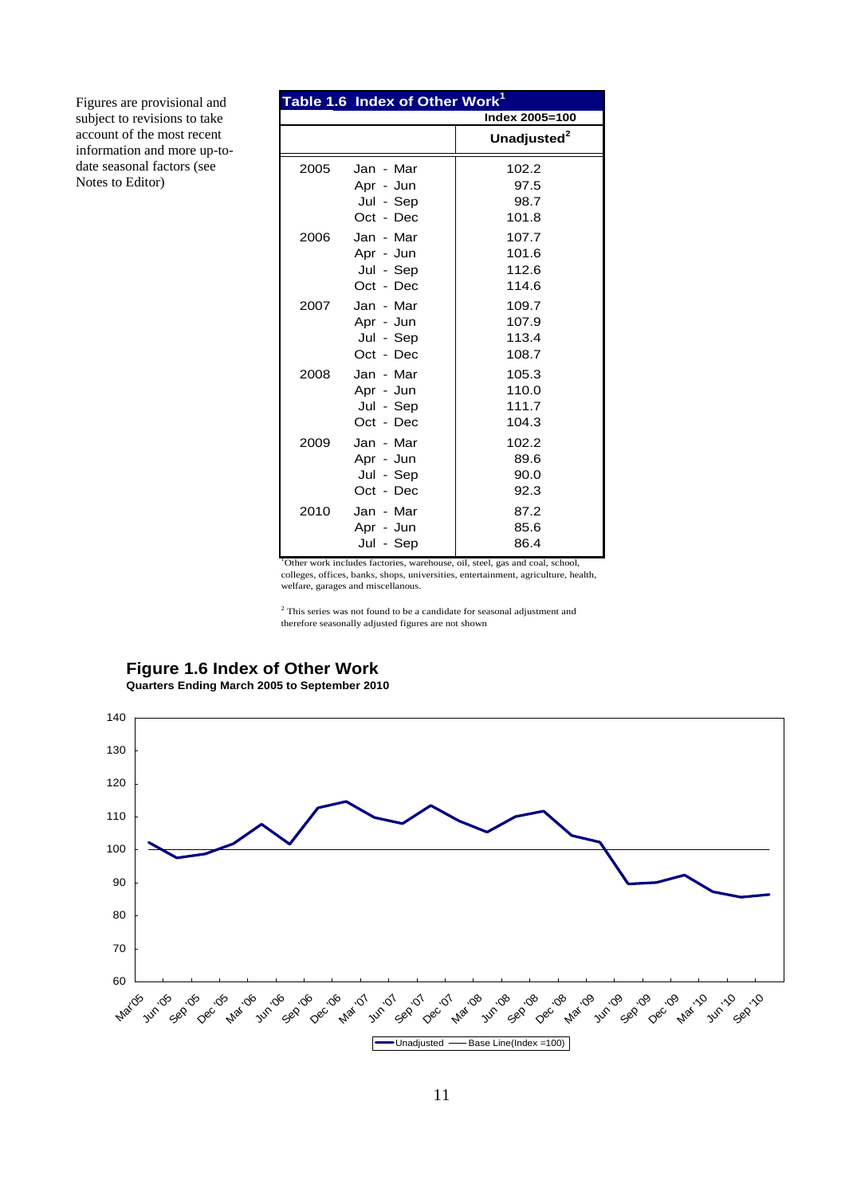|      | Table 1.6 Index of Other Work <sup>1</sup>       |                                  |
|------|--------------------------------------------------|----------------------------------|
|      |                                                  | Index 2005=100                   |
|      |                                                  | Unadjusted <sup>2</sup>          |
| 2005 | Jan - Mar<br>Apr - Jun<br>Jul - Sep<br>Oct - Dec | 102.2<br>97.5<br>98.7<br>101.8   |
| 2006 | Jan - Mar<br>Apr - Jun<br>Jul - Sep<br>Oct - Dec | 107.7<br>101.6<br>112.6<br>114.6 |
| 2007 | Jan - Mar<br>Apr - Jun<br>Jul - Sep<br>Oct - Dec | 109.7<br>107.9<br>113.4<br>108.7 |
| 2008 | Jan - Mar<br>Apr - Jun<br>Jul - Sep<br>Oct - Dec | 105.3<br>110.0<br>111.7<br>104.3 |
| 2009 | Jan - Mar<br>Apr - Jun<br>Jul - Sep<br>Oct - Dec | 102.2<br>89.6<br>90.0<br>92.3    |
| 2010 | Jan - Mar<br>Apr - Jun<br>Jul - Sep              | 87.2<br>85.6<br>86.4             |

<sup>1</sup>Other work includes factories, warehouse, oil, steel, gas and coal, school, colleges, offices, banks, shops, universities, entertainment, agriculture, health, welfare, garages and miscellanous.

 $^{\rm 2}$  This series was not found to be a candidate for seasonal adjustment and therefore seasonally adjusted figures are not shown

#### **Figure 1.6 Index of Other Work Quarters Ending March 2005 to September 2010**

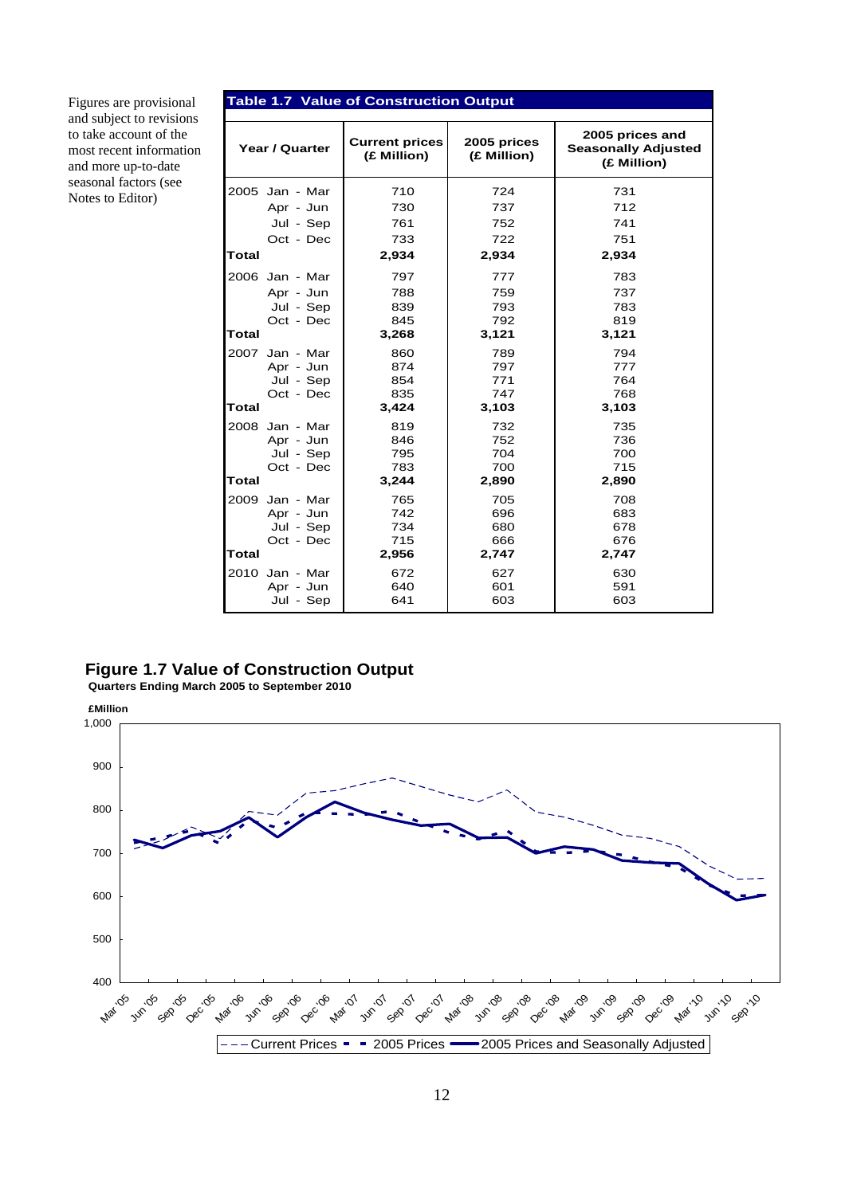| Figures are provisional<br>and subject to revisions                      | <b>Table 1.7 Value of Construction Output</b> |                                      |                            |                                                              |
|--------------------------------------------------------------------------|-----------------------------------------------|--------------------------------------|----------------------------|--------------------------------------------------------------|
| to take account of the<br>most recent information<br>and more up-to-date | Year / Quarter                                | <b>Current prices</b><br>(£ Million) | 2005 prices<br>(£ Million) | 2005 prices and<br><b>Seasonally Adjusted</b><br>(£ Million) |
| seasonal factors (see<br>Notes to Editor)                                | 2005 Jan - Mar                                | 710                                  | 724                        | 731                                                          |
|                                                                          | Apr - Jun                                     | 730                                  | 737                        | 712                                                          |
|                                                                          | Jul - Sep                                     | 761                                  | 752                        | 741                                                          |
|                                                                          | Oct - Dec                                     | 733                                  | 722                        | 751                                                          |
|                                                                          | <b>Total</b>                                  | 2,934                                | 2,934                      | 2,934                                                        |
|                                                                          | 2006 Jan - Mar                                | 797                                  | 777                        | 783                                                          |
|                                                                          | Apr - Jun                                     | 788                                  | 759                        | 737                                                          |
|                                                                          | Jul - Sep                                     | 839                                  | 793                        | 783                                                          |
|                                                                          | Oct - Dec                                     | 845                                  | 792                        | 819                                                          |
|                                                                          | <b>Total</b>                                  | 3,268                                | 3,121                      | 3,121                                                        |
|                                                                          | 2007 Jan - Mar                                | 860                                  | 789                        | 794                                                          |
|                                                                          | Apr - Jun                                     | 874                                  | 797                        | 777                                                          |
|                                                                          | Jul - Sep                                     | 854                                  | 771                        | 764                                                          |
|                                                                          | Oct - Dec                                     | 835                                  | 747                        | 768                                                          |
|                                                                          | <b>Total</b>                                  | 3,424                                | 3,103                      | 3,103                                                        |
|                                                                          | 2008 Jan - Mar                                | 819                                  | 732                        | 735                                                          |
|                                                                          | Apr - Jun                                     | 846                                  | 752                        | 736                                                          |
|                                                                          | Jul - Sep                                     | 795                                  | 704                        | 700                                                          |
|                                                                          | Oct - Dec                                     | 783                                  | 700                        | 715                                                          |
|                                                                          | Total                                         | 3,244                                | 2,890                      | 2,890                                                        |
|                                                                          | 2009<br>Jan - Mar                             | 765                                  | 705                        | 708                                                          |
|                                                                          | Apr - Jun                                     | 742                                  | 696                        | 683                                                          |
|                                                                          | Jul - Sep                                     | 734                                  | 680                        | 678                                                          |
|                                                                          | Oct - Dec                                     | 715                                  | 666                        | 676                                                          |
|                                                                          | <b>Total</b>                                  | 2,956                                | 2,747                      | 2,747                                                        |
|                                                                          | 2010 Jan - Mar                                | 672                                  | 627                        | 630                                                          |
|                                                                          | Apr - Jun                                     | 640                                  | 601                        | 591                                                          |
|                                                                          | Jul - Sep                                     | 641                                  | 603                        | 603                                                          |

#### **Figure 1.7 Value of Construction Output**

 **Quarters Ending March 2005 to September 2010** 

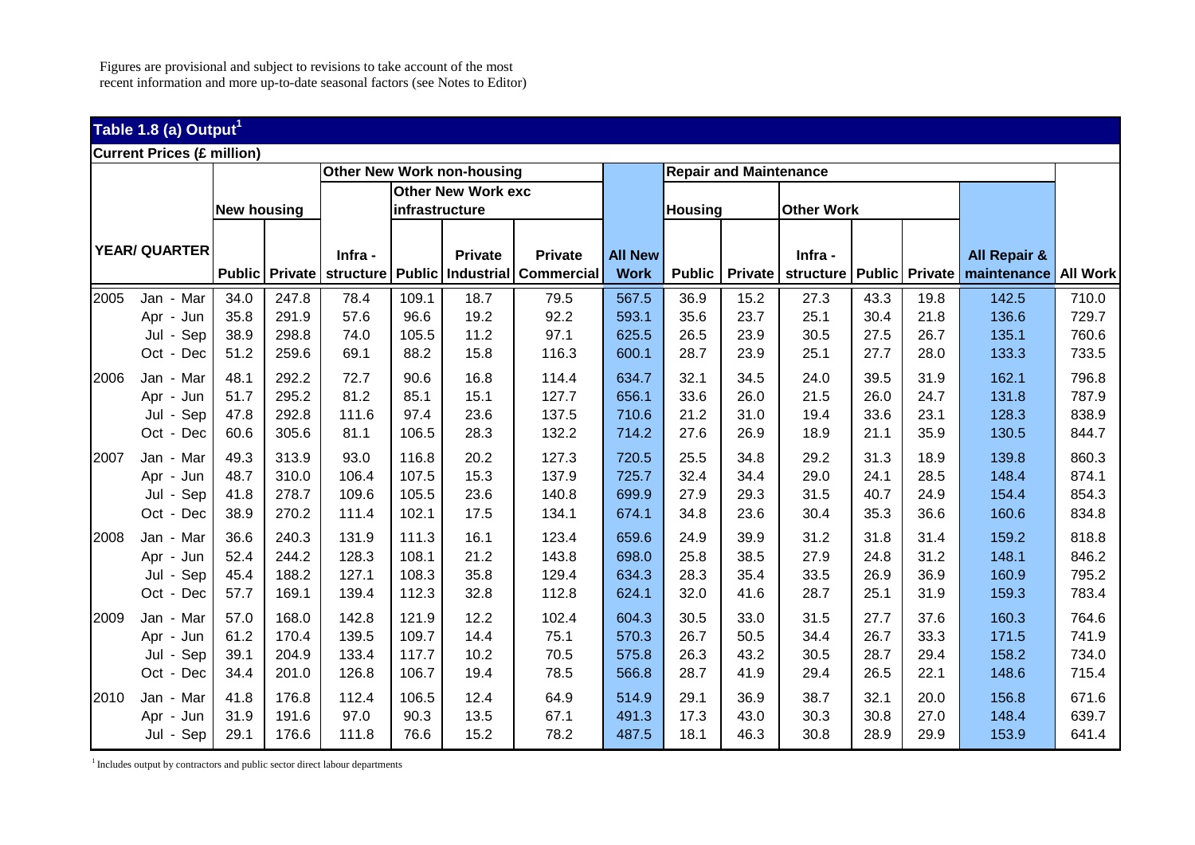## **Table 1.8 (a) Output<sup>1</sup>**

| <b>Current Prices (£ million)</b> |                      |                    |       |                          |                |                            |                   |                |                |                               |                              |      |      |                         |       |
|-----------------------------------|----------------------|--------------------|-------|--------------------------|----------------|----------------------------|-------------------|----------------|----------------|-------------------------------|------------------------------|------|------|-------------------------|-------|
|                                   |                      |                    |       |                          |                | Other New Work non-housing |                   |                |                | <b>Repair and Maintenance</b> |                              |      |      |                         |       |
|                                   |                      |                    |       |                          |                | <b>Other New Work exc</b>  |                   |                |                |                               |                              |      |      |                         |       |
|                                   |                      | <b>New housing</b> |       |                          | infrastructure |                            |                   |                | <b>Housing</b> |                               | <b>Other Work</b>            |      |      |                         |       |
|                                   |                      |                    |       |                          |                |                            |                   |                |                |                               |                              |      |      |                         |       |
|                                   | <b>YEAR/ QUARTER</b> |                    |       | Infra -                  |                | <b>Private</b>             | <b>Private</b>    | <b>All New</b> |                |                               | Infra -                      |      |      | <b>All Repair &amp;</b> |       |
|                                   |                      |                    |       | Public Private structure |                | Public   Industrial        | <b>Commercial</b> | <b>Work</b>    | <b>Public</b>  | <b>Private</b>                | structure   Public   Private |      |      | maintenance All Work    |       |
|                                   |                      |                    |       |                          |                |                            |                   |                |                |                               |                              |      |      |                         |       |
| 2005                              | Jan - Mar            | 34.0               | 247.8 | 78.4                     | 109.1          | 18.7                       | 79.5              | 567.5          | 36.9           | 15.2                          | 27.3                         | 43.3 | 19.8 | 142.5                   | 710.0 |
|                                   | Apr - Jun            | 35.8               | 291.9 | 57.6                     | 96.6           | 19.2                       | 92.2              | 593.1          | 35.6           | 23.7                          | 25.1                         | 30.4 | 21.8 | 136.6                   | 729.7 |
|                                   | Jul - Sep            | 38.9               | 298.8 | 74.0                     | 105.5          | 11.2                       | 97.1              | 625.5          | 26.5           | 23.9                          | 30.5                         | 27.5 | 26.7 | 135.1                   | 760.6 |
|                                   | Oct - Dec            | 51.2               | 259.6 | 69.1                     | 88.2           | 15.8                       | 116.3             | 600.1          | 28.7           | 23.9                          | 25.1                         | 27.7 | 28.0 | 133.3                   | 733.5 |
| 2006                              | Jan - Mar            | 48.1               | 292.2 | 72.7                     | 90.6           | 16.8                       | 114.4             | 634.7          | 32.1           | 34.5                          | 24.0                         | 39.5 | 31.9 | 162.1                   | 796.8 |
|                                   | Apr - Jun            | 51.7               | 295.2 | 81.2                     | 85.1           | 15.1                       | 127.7             | 656.1          | 33.6           | 26.0                          | 21.5                         | 26.0 | 24.7 | 131.8                   | 787.9 |
|                                   | Jul - Sep            | 47.8               | 292.8 | 111.6                    | 97.4           | 23.6                       | 137.5             | 710.6          | 21.2           | 31.0                          | 19.4                         | 33.6 | 23.1 | 128.3                   | 838.9 |
|                                   | Oct - Dec            | 60.6               | 305.6 | 81.1                     | 106.5          | 28.3                       | 132.2             | 714.2          | 27.6           | 26.9                          | 18.9                         | 21.1 | 35.9 | 130.5                   | 844.7 |
| 2007                              | Jan - Mar            | 49.3               | 313.9 | 93.0                     | 116.8          | 20.2                       | 127.3             | 720.5          | 25.5           | 34.8                          | 29.2                         | 31.3 | 18.9 | 139.8                   | 860.3 |
|                                   | Apr - Jun            | 48.7               | 310.0 | 106.4                    | 107.5          | 15.3                       | 137.9             | 725.7          | 32.4           | 34.4                          | 29.0                         | 24.1 | 28.5 | 148.4                   | 874.1 |
|                                   | Jul - Sep            | 41.8               | 278.7 | 109.6                    | 105.5          | 23.6                       | 140.8             | 699.9          | 27.9           | 29.3                          | 31.5                         | 40.7 | 24.9 | 154.4                   | 854.3 |
|                                   | Oct - Dec            | 38.9               | 270.2 | 111.4                    | 102.1          | 17.5                       | 134.1             | 674.1          | 34.8           | 23.6                          | 30.4                         | 35.3 | 36.6 | 160.6                   | 834.8 |
| 2008                              | Jan - Mar            | 36.6               | 240.3 | 131.9                    | 111.3          | 16.1                       | 123.4             | 659.6          | 24.9           | 39.9                          | 31.2                         | 31.8 | 31.4 | 159.2                   | 818.8 |
|                                   | Apr - Jun            | 52.4               | 244.2 | 128.3                    | 108.1          | 21.2                       | 143.8             | 698.0          | 25.8           | 38.5                          | 27.9                         | 24.8 | 31.2 | 148.1                   | 846.2 |
|                                   | Sep<br>Jul -         | 45.4               | 188.2 | 127.1                    | 108.3          | 35.8                       | 129.4             | 634.3          | 28.3           | 35.4                          | 33.5                         | 26.9 | 36.9 | 160.9                   | 795.2 |
|                                   | Oct - Dec            | 57.7               | 169.1 | 139.4                    | 112.3          | 32.8                       | 112.8             | 624.1          | 32.0           | 41.6                          | 28.7                         | 25.1 | 31.9 | 159.3                   | 783.4 |
| 2009                              | Jan - Mar            | 57.0               | 168.0 | 142.8                    | 121.9          | 12.2                       | 102.4             | 604.3          | 30.5           | 33.0                          | 31.5                         | 27.7 | 37.6 | 160.3                   | 764.6 |
|                                   | Apr - Jun            | 61.2               | 170.4 | 139.5                    | 109.7          | 14.4                       | 75.1              | 570.3          | 26.7           | 50.5                          | 34.4                         | 26.7 | 33.3 | 171.5                   | 741.9 |
|                                   | Jul - Sep            | 39.1               | 204.9 | 133.4                    | 117.7          | 10.2                       | 70.5              | 575.8          | 26.3           | 43.2                          | 30.5                         | 28.7 | 29.4 | 158.2                   | 734.0 |
|                                   | Oct - Dec            | 34.4               | 201.0 | 126.8                    | 106.7          | 19.4                       | 78.5              | 566.8          | 28.7           | 41.9                          | 29.4                         | 26.5 | 22.1 | 148.6                   | 715.4 |
| 2010                              | Jan - Mar            | 41.8               | 176.8 | 112.4                    | 106.5          | 12.4                       | 64.9              | 514.9          | 29.1           | 36.9                          | 38.7                         | 32.1 | 20.0 | 156.8                   | 671.6 |
|                                   | Apr - Jun            | 31.9               | 191.6 | 97.0                     | 90.3           | 13.5                       | 67.1              | 491.3          | 17.3           | 43.0                          | 30.3                         | 30.8 | 27.0 | 148.4                   | 639.7 |
|                                   | Jul - Sep            | 29.1               | 176.6 | 111.8                    | 76.6           | 15.2                       | 78.2              | 487.5          | 18.1           | 46.3                          | 30.8                         | 28.9 | 29.9 | 153.9                   | 641.4 |

<sup>1</sup> Includes output by contractors and public sector direct labour departments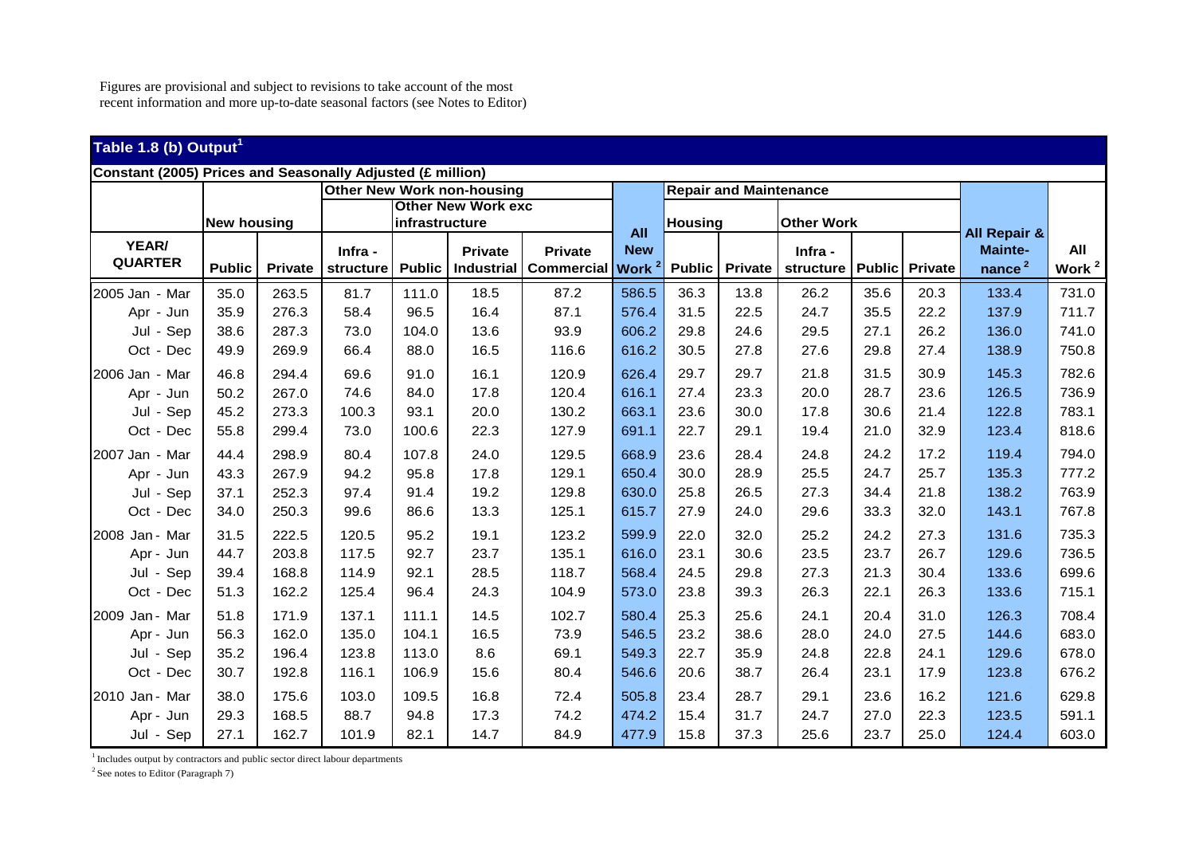# **Table 1.8 (b) Output<sup>1</sup>**

|                |                    |                | Other New Work non-housing |                |                           |                   |             | <b>Repair and Maintenance</b> |                |                   |               |                |                         |                   |
|----------------|--------------------|----------------|----------------------------|----------------|---------------------------|-------------------|-------------|-------------------------------|----------------|-------------------|---------------|----------------|-------------------------|-------------------|
|                |                    |                |                            |                | <b>Other New Work exc</b> |                   |             |                               |                |                   |               |                |                         |                   |
|                | <b>New housing</b> |                |                            | infrastructure |                           |                   | <b>All</b>  | <b>Housing</b>                |                | <b>Other Work</b> |               |                | <b>All Repair &amp;</b> |                   |
| YEAR/          |                    |                | Infra -                    |                | <b>Private</b>            | <b>Private</b>    | <b>New</b>  |                               |                | Infra -           |               |                | <b>Mainte-</b>          | All               |
| <b>QUARTER</b> | <b>Public</b>      | <b>Private</b> | structure                  | <b>Public</b>  | Industrial                | <b>Commercial</b> | <b>Work</b> | <b>Public</b>                 | <b>Private</b> | structure         | <b>Public</b> | <b>Private</b> | nance $2$               | Work <sup>2</sup> |
| 2005 Jan - Mar | 35.0               | 263.5          | 81.7                       | 111.0          | 18.5                      | 87.2              | 586.5       | 36.3                          | 13.8           | 26.2              | 35.6          | 20.3           | 133.4                   | 731.0             |
| Apr - Jun      | 35.9               | 276.3          | 58.4                       | 96.5           | 16.4                      | 87.1              | 576.4       | 31.5                          | 22.5           | 24.7              | 35.5          | 22.2           | 137.9                   | 711.7             |
| Jul - Sep      | 38.6               | 287.3          | 73.0                       | 104.0          | 13.6                      | 93.9              | 606.2       | 29.8                          | 24.6           | 29.5              | 27.1          | 26.2           | 136.0                   | 741.0             |
| Oct - Dec      | 49.9               | 269.9          | 66.4                       | 88.0           | 16.5                      | 116.6             | 616.2       | 30.5                          | 27.8           | 27.6              | 29.8          | 27.4           | 138.9                   | 750.8             |
| 2006 Jan - Mar | 46.8               | 294.4          | 69.6                       | 91.0           | 16.1                      | 120.9             | 626.4       | 29.7                          | 29.7           | 21.8              | 31.5          | 30.9           | 145.3                   | 782.6             |
| Apr - Jun      | 50.2               | 267.0          | 74.6                       | 84.0           | 17.8                      | 120.4             | 616.1       | 27.4                          | 23.3           | 20.0              | 28.7          | 23.6           | 126.5                   | 736.9             |
| Jul - Sep      | 45.2               | 273.3          | 100.3                      | 93.1           | 20.0                      | 130.2             | 663.1       | 23.6                          | 30.0           | 17.8              | 30.6          | 21.4           | 122.8                   | 783.1             |
| Oct - Dec      | 55.8               | 299.4          | 73.0                       | 100.6          | 22.3                      | 127.9             | 691.1       | 22.7                          | 29.1           | 19.4              | 21.0          | 32.9           | 123.4                   | 818.6             |
| 2007 Jan - Mar | 44.4               | 298.9          | 80.4                       | 107.8          | 24.0                      | 129.5             | 668.9       | 23.6                          | 28.4           | 24.8              | 24.2          | 17.2           | 119.4                   | 794.0             |
| Apr - Jun      | 43.3               | 267.9          | 94.2                       | 95.8           | 17.8                      | 129.1             | 650.4       | 30.0                          | 28.9           | 25.5              | 24.7          | 25.7           | 135.3                   | 777.2             |
| Jul - Sep      | 37.1               | 252.3          | 97.4                       | 91.4           | 19.2                      | 129.8             | 630.0       | 25.8                          | 26.5           | 27.3              | 34.4          | 21.8           | 138.2                   | 763.9             |
| Oct - Dec      | 34.0               | 250.3          | 99.6                       | 86.6           | 13.3                      | 125.1             | 615.7       | 27.9                          | 24.0           | 29.6              | 33.3          | 32.0           | 143.1                   | 767.8             |
| 2008 Jan - Mar | 31.5               | 222.5          | 120.5                      | 95.2           | 19.1                      | 123.2             | 599.9       | 22.0                          | 32.0           | 25.2              | 24.2          | 27.3           | 131.6                   | 735.3             |
| Apr - Jun      | 44.7               | 203.8          | 117.5                      | 92.7           | 23.7                      | 135.1             | 616.0       | 23.1                          | 30.6           | 23.5              | 23.7          | 26.7           | 129.6                   | 736.5             |
| Jul - Sep      | 39.4               | 168.8          | 114.9                      | 92.1           | 28.5                      | 118.7             | 568.4       | 24.5                          | 29.8           | 27.3              | 21.3          | 30.4           | 133.6                   | 699.6             |
| Oct - Dec      | 51.3               | 162.2          | 125.4                      | 96.4           | 24.3                      | 104.9             | 573.0       | 23.8                          | 39.3           | 26.3              | 22.1          | 26.3           | 133.6                   | 715.1             |
| 2009 Jan - Mar | 51.8               | 171.9          | 137.1                      | 111.1          | 14.5                      | 102.7             | 580.4       | 25.3                          | 25.6           | 24.1              | 20.4          | 31.0           | 126.3                   | 708.4             |
| Apr - Jun      | 56.3               | 162.0          | 135.0                      | 104.1          | 16.5                      | 73.9              | 546.5       | 23.2                          | 38.6           | 28.0              | 24.0          | 27.5           | 144.6                   | 683.0             |
| Jul - Sep      | 35.2               | 196.4          | 123.8                      | 113.0          | 8.6                       | 69.1              | 549.3       | 22.7                          | 35.9           | 24.8              | 22.8          | 24.1           | 129.6                   | 678.0             |
| Oct - Dec      | 30.7               | 192.8          | 116.1                      | 106.9          | 15.6                      | 80.4              | 546.6       | 20.6                          | 38.7           | 26.4              | 23.1          | 17.9           | 123.8                   | 676.2             |
| 2010 Jan - Mar | 38.0               | 175.6          | 103.0                      | 109.5          | 16.8                      | 72.4              | 505.8       | 23.4                          | 28.7           | 29.1              | 23.6          | 16.2           | 121.6                   | 629.8             |
| Apr - Jun      | 29.3               | 168.5          | 88.7                       | 94.8           | 17.3                      | 74.2              | 474.2       | 15.4                          | 31.7           | 24.7              | 27.0          | 22.3           | 123.5                   | 591.1             |
| Jul - Sep      | 27.1               | 162.7          | 101.9                      | 82.1           | 14.7                      | 84.9              | 477.9       | 15.8                          | 37.3           | 25.6              | 23.7          | 25.0           | 124.4                   | 603.0             |

<sup>1</sup> Includes output by contractors and public sector direct labour departments

 $2$  See notes to Editor (Paragraph 7)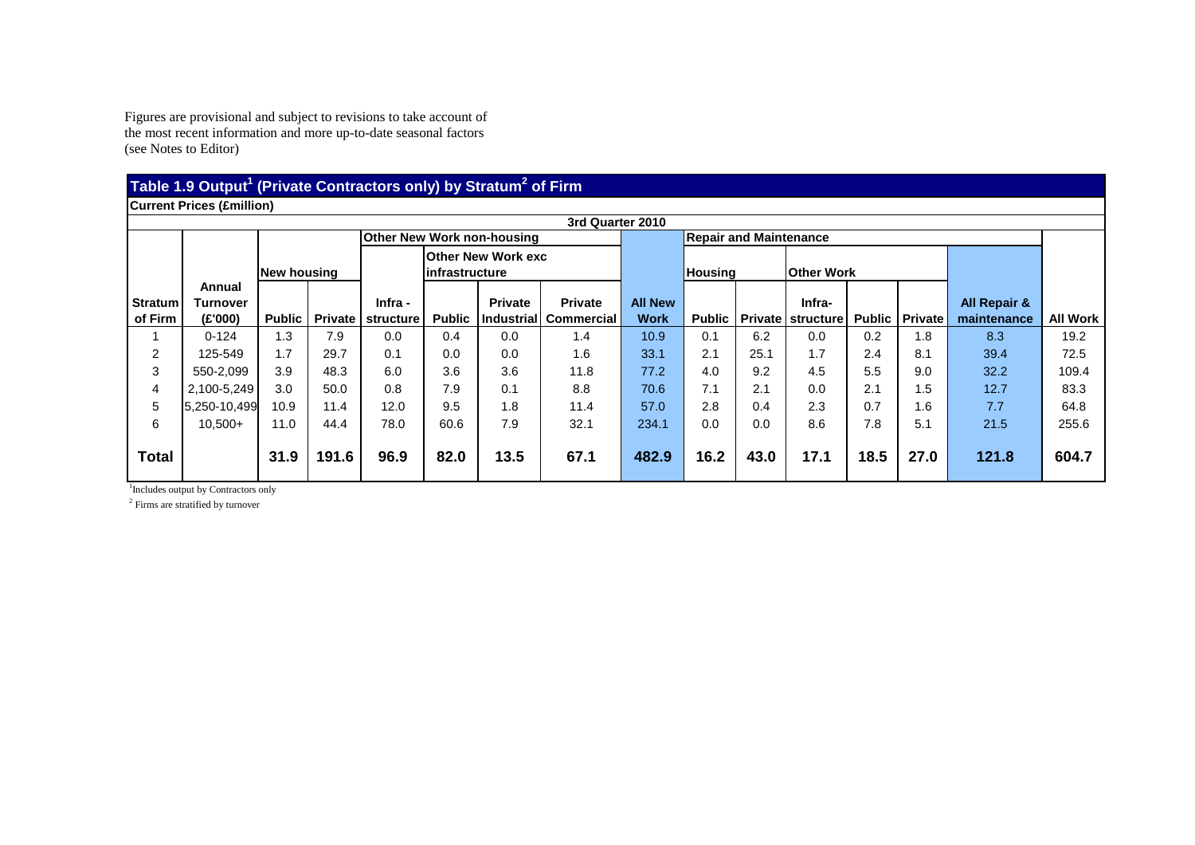#### **Table 1.9 Output1 (Private Contractors only) by Stratum2 of Firm**

**Current Prices (£million)** 

|                           | Current Prices (£million)            |               |       |                                |               |                                             |                                               |                               |                               |                   |                               |      |                           |                                        |                 |
|---------------------------|--------------------------------------|---------------|-------|--------------------------------|---------------|---------------------------------------------|-----------------------------------------------|-------------------------------|-------------------------------|-------------------|-------------------------------|------|---------------------------|----------------------------------------|-----------------|
|                           | 3rd Quarter 2010                     |               |       |                                |               |                                             |                                               |                               |                               |                   |                               |      |                           |                                        |                 |
|                           |                                      |               |       |                                |               | <b>Other New Work non-housing</b>           |                                               |                               | <b>Repair and Maintenance</b> |                   |                               |      |                           |                                        |                 |
|                           |                                      | New housing   |       |                                |               | <b>Other New Work exc</b><br>infrastructure |                                               | <b>Housing</b>                |                               | <b>Other Work</b> |                               |      |                           |                                        |                 |
| <b>Stratum</b><br>of Firm | Annual<br><b>Turnover</b><br>(E'000) | <b>Public</b> |       | Infra -<br>Private   structure | <b>Public</b> | <b>Private</b>                              | <b>Private</b><br>l Industrial I Commercial I | <b>All New</b><br><b>Work</b> | <b>Public</b>                 |                   | Infra-<br>Private   structure |      | <b>Public   Private  </b> | <b>All Repair &amp;</b><br>maintenance | <b>All Work</b> |
|                           | $0 - 124$                            | 1.3           | 7.9   | 0.0                            | 0.4           | 0.0                                         | 1.4                                           | 10.9                          | 0.1                           | 6.2               | 0.0                           | 0.2  | 1.8                       | 8.3                                    | 19.2            |
| $\overline{2}$            | 125-549                              | 1.7           | 29.7  | 0.1                            | 0.0           | 0.0                                         | 1.6                                           | 33.1                          | 2.1                           | 25.1              | 1.7                           | 2.4  | 8.1                       | 39.4                                   | 72.5            |
| 3                         | 550-2.099                            | 3.9           | 48.3  | 6.0                            | 3.6           | 3.6                                         | 11.8                                          | 77.2                          | 4.0                           | 9.2               | 4.5                           | 5.5  | 9.0                       | 32.2                                   | 109.4           |
| 4                         | 2,100-5,249                          | 3.0           | 50.0  | 0.8                            | 7.9           | 0.1                                         | 8.8                                           | 70.6                          | 7.1                           | 2.1               | 0.0                           | 2.1  | 1.5                       | 12.7                                   | 83.3            |
| 5                         | 5,250-10,499                         | 10.9          | 11.4  | 12.0                           | 9.5           | 1.8                                         | 11.4                                          | 57.0                          | 2.8                           | 0.4               | 2.3                           | 0.7  | 1.6                       | 7.7                                    | 64.8            |
| 6                         | $10,500+$                            | 11.0          | 44.4  | 78.0                           | 60.6          | 7.9                                         | 32.1                                          | 234.1                         | 0.0                           | 0.0               | 8.6                           | 7.8  | 5.1                       | 21.5                                   | 255.6           |
| <b>Total</b>              |                                      | 31.9          | 191.6 | 96.9                           | 82.0          | 13.5                                        | 67.1                                          | 482.9                         | 16.2                          | 43.0              | 17.1                          | 18.5 | 27.0                      | 121.8                                  | 604.7           |

<sup>1</sup>Includes output by Contractors only

<sup>2</sup> Firms are stratified by turnover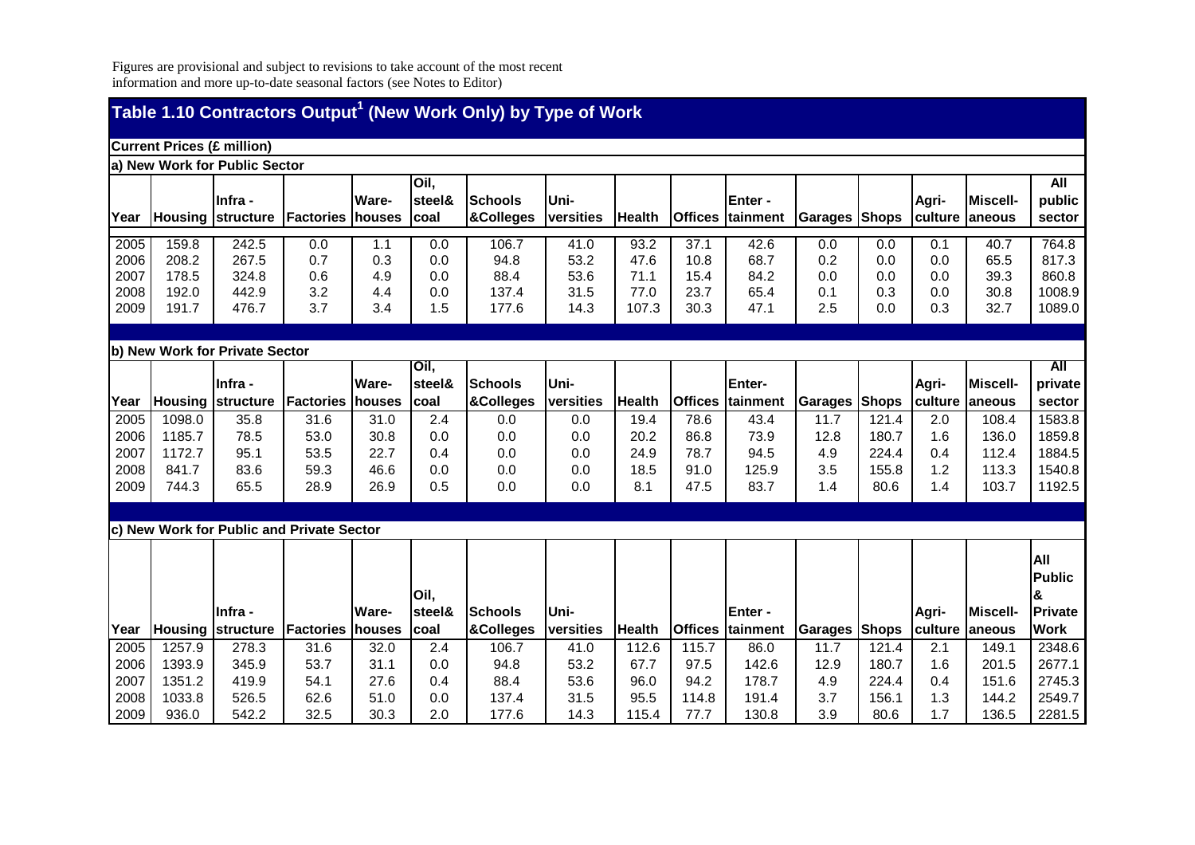|                                      | Table 1.10 Contractors Output <sup>1</sup> (New Work Only) by Type of Work |                                           |                                           |                                      |                                 |                                         |                                      |                                       |                                      |                                       |                                   |                                          |                                 |                                           |                                                |
|--------------------------------------|----------------------------------------------------------------------------|-------------------------------------------|-------------------------------------------|--------------------------------------|---------------------------------|-----------------------------------------|--------------------------------------|---------------------------------------|--------------------------------------|---------------------------------------|-----------------------------------|------------------------------------------|---------------------------------|-------------------------------------------|------------------------------------------------|
|                                      | <b>Current Prices (£ million)</b>                                          |                                           |                                           |                                      |                                 |                                         |                                      |                                       |                                      |                                       |                                   |                                          |                                 |                                           |                                                |
|                                      |                                                                            | a) New Work for Public Sector             |                                           |                                      |                                 |                                         |                                      |                                       |                                      |                                       |                                   |                                          |                                 |                                           |                                                |
| Year                                 | <b>Housing</b>                                                             | Infra -<br><b>structure</b>               | Factories                                 | <b>Ware-</b><br><b>houses</b>        | Oil,<br>steel&<br>coal          | <b>Schools</b><br>&Colleges             | Uni-<br>versities                    | <b>Health</b>                         | <b>Offices</b>                       | Enter -<br>tainment                   | <b>Garages Shops</b>              |                                          | Agri-<br>culture                | <b>Miscell-</b><br>laneous                | All<br>public<br>sector                        |
| 2005<br>2006<br>2007<br>2008<br>2009 | 159.8<br>208.2<br>178.5<br>192.0<br>191.7                                  | 242.5<br>267.5<br>324.8<br>442.9<br>476.7 | 0.0<br>0.7<br>0.6<br>3.2<br>3.7           | 1.1<br>0.3<br>4.9<br>4.4<br>3.4      | 0.0<br>0.0<br>0.0<br>0.0<br>1.5 | 106.7<br>94.8<br>88.4<br>137.4<br>177.6 | 41.0<br>53.2<br>53.6<br>31.5<br>14.3 | 93.2<br>47.6<br>71.1<br>77.0<br>107.3 | 37.1<br>10.8<br>15.4<br>23.7<br>30.3 | 42.6<br>68.7<br>84.2<br>65.4<br>47.1  | 0.0<br>0.2<br>0.0<br>0.1<br>2.5   | 0.0<br>0.0<br>0.0<br>0.3<br>0.0          | 0.1<br>0.0<br>0.0<br>0.0<br>0.3 | 40.7<br>65.5<br>39.3<br>30.8<br>32.7      | 764.8<br>817.3<br>860.8<br>1008.9<br>1089.0    |
|                                      |                                                                            |                                           |                                           |                                      |                                 |                                         |                                      |                                       |                                      |                                       |                                   |                                          |                                 |                                           |                                                |
|                                      |                                                                            | b) New Work for Private Sector<br>Infra - |                                           | <b>Ware-</b>                         | Oil,<br>steel&                  | <b>Schools</b>                          | Uni-                                 |                                       |                                      | Enter-                                |                                   |                                          |                                 | <b>Miscell-</b>                           | All                                            |
| Year                                 | <b>Housing</b>                                                             | structure                                 | Factories                                 | <b>Inouses</b>                       | coal                            | &Colleges                               | versities                            | Health                                | <b>Offices</b>                       | tainment                              | <b>Garages Shops</b>              |                                          | Agri-<br>culture                | <b>aneous</b>                             | private<br>sector                              |
| 2005<br>2006<br>2007<br>2008<br>2009 | 1098.0<br>1185.7<br>1172.7<br>841.7<br>744.3                               | 35.8<br>78.5<br>95.1<br>83.6<br>65.5      | 31.6<br>53.0<br>53.5<br>59.3<br>28.9      | 31.0<br>30.8<br>22.7<br>46.6<br>26.9 | 2.4<br>0.0<br>0.4<br>0.0<br>0.5 | 0.0<br>0.0<br>0.0<br>0.0<br>0.0         | 0.0<br>0.0<br>0.0<br>0.0<br>0.0      | 19.4<br>20.2<br>24.9<br>18.5<br>8.1   | 78.6<br>86.8<br>78.7<br>91.0<br>47.5 | 43.4<br>73.9<br>94.5<br>125.9<br>83.7 | 11.7<br>12.8<br>4.9<br>3.5<br>1.4 | 121.4<br>180.7<br>224.4<br>155.8<br>80.6 | 2.0<br>1.6<br>0.4<br>1.2<br>1.4 | 108.4<br>136.0<br>112.4<br>113.3<br>103.7 | 1583.8<br>1859.8<br>1884.5<br>1540.8<br>1192.5 |
|                                      |                                                                            |                                           | c) New Work for Public and Private Sector |                                      |                                 |                                         |                                      |                                       |                                      |                                       |                                   |                                          |                                 |                                           |                                                |
|                                      |                                                                            | Infra -                                   |                                           | <b>Ware-</b>                         | Oil,<br>steel&                  | Schools                                 | Uni-                                 |                                       |                                      | Enter -                               |                                   |                                          | Agri-                           | Miscell-                                  | All<br><b>Public</b><br>Private                |
| Year                                 | <b>Housing</b>                                                             | structure                                 | Factories                                 | <b>houses</b>                        | coal                            | &Colleges                               | versities                            | <b>Health</b>                         |                                      | Offices tainment                      | <b>Garages Shops</b>              |                                          | culture                         | laneous                                   | <b>Work</b>                                    |
| 2005<br>2006<br>2007                 | 1257.9<br>1393.9<br>1351.2                                                 | 278.3<br>345.9<br>419.9                   | 31.6<br>53.7<br>54.1                      | 32.0<br>31.1<br>27.6                 | 2.4<br>0.0<br>0.4               | 106.7<br>94.8<br>88.4                   | 41.0<br>53.2<br>53.6                 | 112.6<br>67.7<br>96.0                 | 115.7<br>97.5<br>94.2                | 86.0<br>142.6<br>178.7                | 11.7<br>12.9<br>4.9               | 121.4<br>180.7<br>224.4                  | 2.1<br>1.6<br>0.4               | 149.1<br>201.5<br>151.6                   | 2348.6<br>2677.1<br>2745.3                     |
| 2008                                 | 1033.8                                                                     | 526.5                                     | 62.6                                      | 51.0                                 | 0.0                             | 137.4                                   | 31.5                                 | 95.5                                  | 114.8                                | 191.4                                 | 3.7                               | 156.1                                    | 1.3                             | 144.2                                     | 2549.7                                         |
| 2009                                 | 936.0                                                                      | 542.2                                     | 32.5                                      | 30.3                                 | 2.0                             | 177.6                                   | 14.3                                 | 115.4                                 | 77.7                                 | 130.8                                 | 3.9                               | 80.6                                     | 1.7                             | 136.5                                     | 2281.5                                         |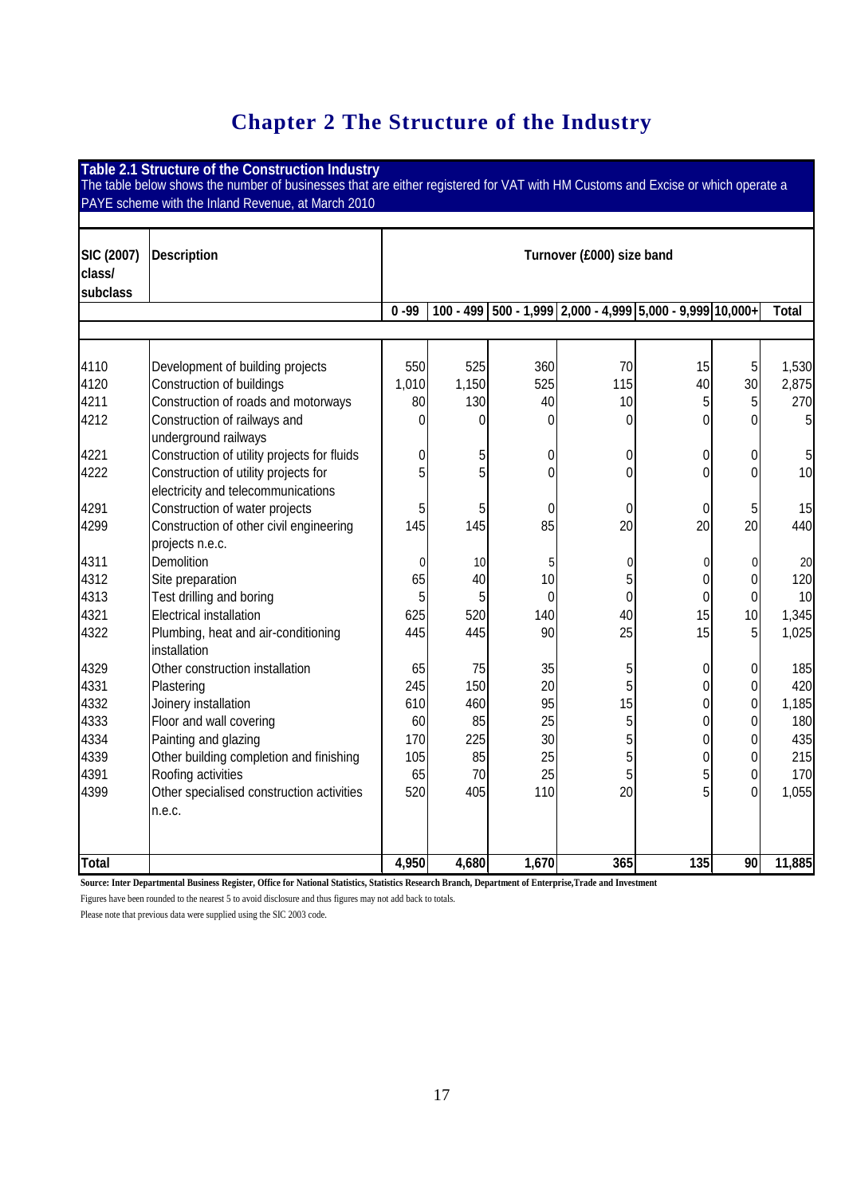## **Chapter 2 The Structure of the Industry**

**Table 2.1 Structure of the Construction Industry**  The table below shows the number of businesses that are either registered for VAT with HM Customs and Excise or which operate a PAYE scheme with the Inland Revenue, at March 2010 **SIC (2007) class/ subclass Description Turnover (£000) size band 0 -99 100 - 499 500 - 1,999 2,000 - 4,999 5,000 - 9,999 10,000+ Total**  4110 Development of building projects  $\begin{vmatrix} 550 & 525 & 360 \\ 4110 & 70 & 75 \end{vmatrix}$  5 1,530 4120 Construction of buildings 1,010 1,150 525 115 40 30 2,875 4211 Construction of roads and motorways  $\begin{array}{|c|c|c|c|c|c|c|c|c|} \hline \end{array}$  40 10 10 5 5 270 4212 Construction of railways and underground railways 0 0 0 0 0 0 5 4221 Construction of utility projects for fluids  $\begin{vmatrix} 0 & 5 \end{vmatrix}$  0 0 0 0 0 5 4222 Construction of utility projects for electricity and telecommunications 5 5 0 0 0 0 10 4291 Construction of water projects (  $\begin{array}{ccc} 5 & 5 & 0 & 0 & 0 \end{array}$  and  $\begin{array}{ccc} 2 & 5 & 15 \end{array}$ 4299 Construction of other civil engineering projects n.e.c. 145 145 85 20 20 20 440 4311 Demolition 0 10 5 0 0 0 20 | 4312 | Site preparation | 65 | 40 | 10 | 5 | 0 0 120 4313 Test drilling and boring **5** 1 0 0 0 0 0 10 10 | 4321 | Electrical installation | 625 | 520 | 140 | 40 | 15 | 10 | 1,345 | 4322 Plumbing, heat and air-conditioning installation 445| 445| 90| 25| 15| 5| 1,025| 4329 | Other construction installation | 65 75 35 5 5 0 0 185 4331 Plastering 245 150 20 5 0 0 420 4332 Joinery installation 610 460 95 15 0 0 1,185 4333 Floor and wall covering  $\begin{vmatrix} 60 & 85 & 25 \end{vmatrix}$  5 0 0 0 180  $\begin{array}{ccc} \textsf{4334} & \textsf{Paintina} \textsf{and} \textsf{alozina} \end{array} \begin{array}{c} \textsf{11334} & \textsf{170} & \textsf{225} & \textsf{235} & \textsf{30} & \textsf{5} & \textsf{0} & \textsf{0} & \textsf{0} \end{array} \begin{array}{c} \textsf{1334} & \textsf{235} & \textsf{235} & \textsf{235} & \textsf{235} & \textsf{235} & \textsf{235} & \textsf{235} & \textsf{235} & \text$ 4339  $\vert$  Other building completion and finishing  $\vert$  105 85 25 25 5 0 0 0 215 4391 Roofing activities (65 70 25 5 5 0 170 4399 Other specialised construction activities n.e.c. 520 405 110 20 5 0 1,055 **Total 4,950 4,680 1,670 365 135 90 11,885** 

**Source: Inter Departmental Business Register, Office for National Statistics, Statistics Research Branch, Department of Enterprise,Trade and Investment** 

Figures have been rounded to the nearest 5 to avoid disclosure and thus figures may not add back to totals.

Please note that previous data were supplied using the SIC 2003 code.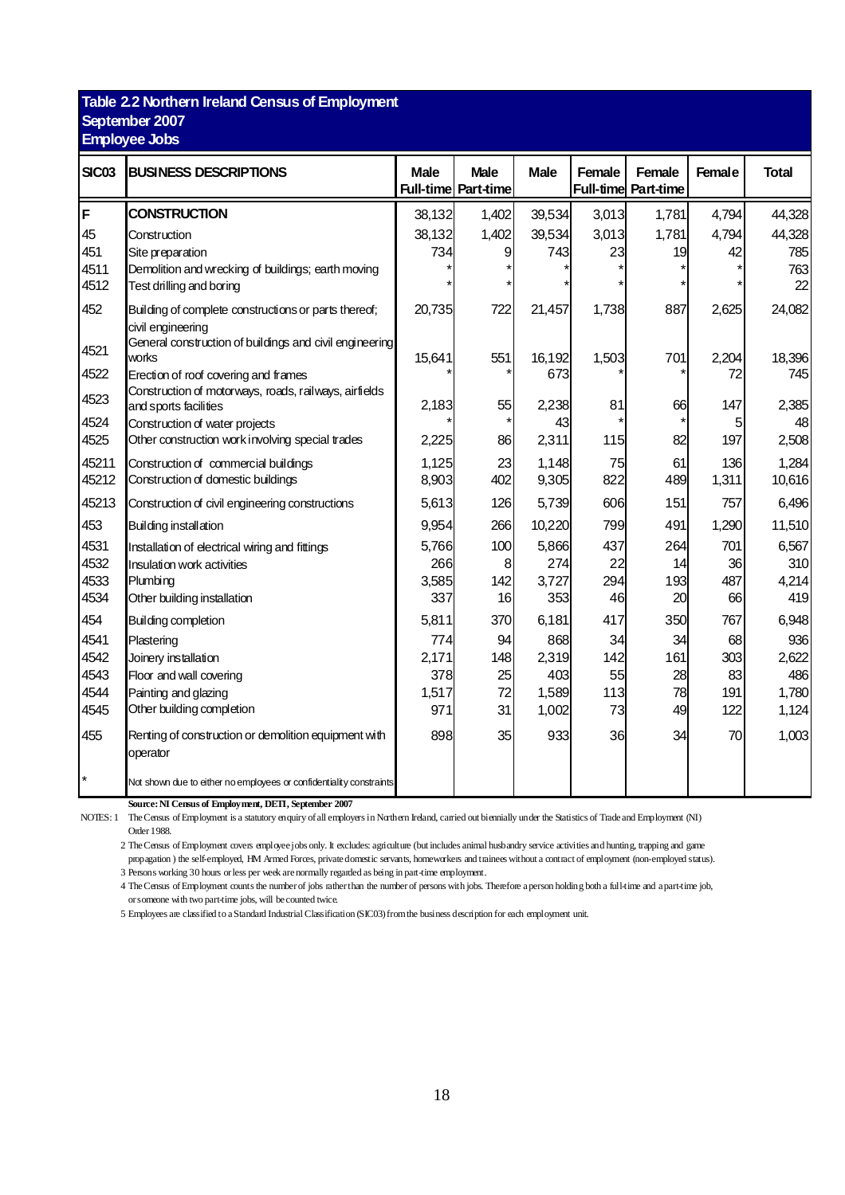#### **Table 2.2 Northern Ireland Census of Employment September 2007 Employee Jobs**

| <b>SIC03</b> | <b>BUSINESS DESCRIPTIONS</b>                                                          | <b>Male</b> | <b>Male</b><br><b>Full-time Part-time</b> | <b>Male</b> | Female | Female<br><b>Full-time Part-time</b> | <b>Female</b> | <b>Total</b> |
|--------------|---------------------------------------------------------------------------------------|-------------|-------------------------------------------|-------------|--------|--------------------------------------|---------------|--------------|
| F            | <b>CONSTRUCTION</b>                                                                   | 38,132      | 1,402                                     | 39,534      | 3,013  | 1,781                                | 4,794         | 44,328       |
| 45           | Construction                                                                          | 38,132      | 1,402                                     | 39,534      | 3,013  | 1,781                                | 4,794         | 44,328       |
| 451          | Site preparation                                                                      | 734         | 9                                         | 743         | 23     | 19                                   | 42            | 785          |
| 4511<br>4512 | Demolition and wrecking of buildings; earth moving<br>Test drilling and boring        |             |                                           |             |        |                                      |               | 763<br>22    |
| 452          | Building of complete constructions or parts thereof;                                  | 20,735      | 722                                       | 21,457      | 1,738  | 887                                  | 2,625         | 24,082       |
| 4521         | civil engineering<br>General construction of buildings and civil engineering<br>works | 15,641      | 551                                       | 16,192      | 1,503  | 701                                  | 2,204         | 18,396       |
| 4522         | Erection of roof covering and frames                                                  |             |                                           | 673         |        |                                      | 72            | 745          |
| 4523         | Construction of motorways, roads, railways, airfields<br>and sports facilities        | 2,183       | 55                                        | 2,238       | 81     | 66                                   | 147           | 2,385        |
| 4524         | Construction of water projects                                                        |             |                                           | 43          |        |                                      | 5             | 48           |
| 4525         | Other construction work involving special trades                                      | 2,225       | 86                                        | 2,311       | 115    | 82                                   | 197           | 2,508        |
| 45211        | Construction of commercial buildings                                                  | 1,125       | 23                                        | 1,148       | 75     | 61                                   | 136           | 1,284        |
| 45212        | Construction of domestic buildings                                                    | 8,903       | 402                                       | 9,305       | 822    | 489                                  | 1,311         | 10,616       |
| 45213        | Construction of civil engineering constructions                                       | 5,613       | 126                                       | 5,739       | 606    | 151                                  | 757           | 6,496        |
| 453          | Building installation                                                                 | 9,954       | 266                                       | 10,220      | 799    | 491                                  | 1,290         | 11,510       |
| 4531         | Installation of electrical wiring and fittings                                        | 5,766       | 100                                       | 5,866       | 437    | 264                                  | 701           | 6,567        |
| 4532         | Insulation work activities                                                            | 266         | 8                                         | 274         | 22     | 14                                   | 36            | 310          |
| 4533         | Plumbing                                                                              | 3,585       | 142                                       | 3,727       | 294    | 193                                  | 487           | 4,214        |
| 4534         | Other building installation                                                           | 337         | 16                                        | 353         | 46     | 20                                   | 66            | 419          |
| 454          | Building completion                                                                   | 5,811       | 370                                       | 6,181       | 417    | 350                                  | 767           | 6,948        |
| 4541         | Plastering                                                                            | 774         | 94                                        | 868         | 34     | 34                                   | 68            | 936          |
| 4542         | Joinery installation                                                                  | 2,171       | 148                                       | 2,319       | 142    | 161                                  | 303           | 2,622        |
| 4543         | Floor and wall covering                                                               | 378         | 25                                        | 403         | 55     | 28                                   | 83            | 486          |
| 4544         | Painting and glazing                                                                  | 1,517       | 72                                        | 1,589       | 113    | 78                                   | 191           | 1,780        |
| 4545         | Other building completion                                                             | 971         | 31                                        | 1,002       | 73     | 49                                   | 122           | 1,124        |
| 455          | Renting of construction or demolition equipment with<br>operator                      | 898         | 35                                        | 933         | 36     | 34                                   | 70            | 1,003        |
| $\star$      | Not shown due to either no employees or confidentiality constraints                   |             |                                           |             |        |                                      |               |              |

**Source: NI Census of Employment, DETI, September 2007** 

NOTES: 1 The Census of Employment is a statutory enquiry of all employers in Northern Ireland, carried out biennially under the Statistics of Trade and Employment (NI) Order 1988.

 2 The Census of Employment covers employee jobs only. It excludes: agriculture (but includes animal husbandry service activities and hunting, trapping and game propagation ) the self-employed, HM Armed Forces, private domestic servants, homeworkers and trainees without a contract of employment (non-employed status).

3 Persons working 30 hours or less per week are normally regarded as being in part-time employment.

4 The Census of Employment counts the number of jobs rather than the number of persons with jobs. Therefore a person holding both a full-time and a part-time job, or someone with two part-time jobs, will be counted twice.

5 Employees are classified to a Standard Industrial Classification (SIC03) from the business description for each employment unit.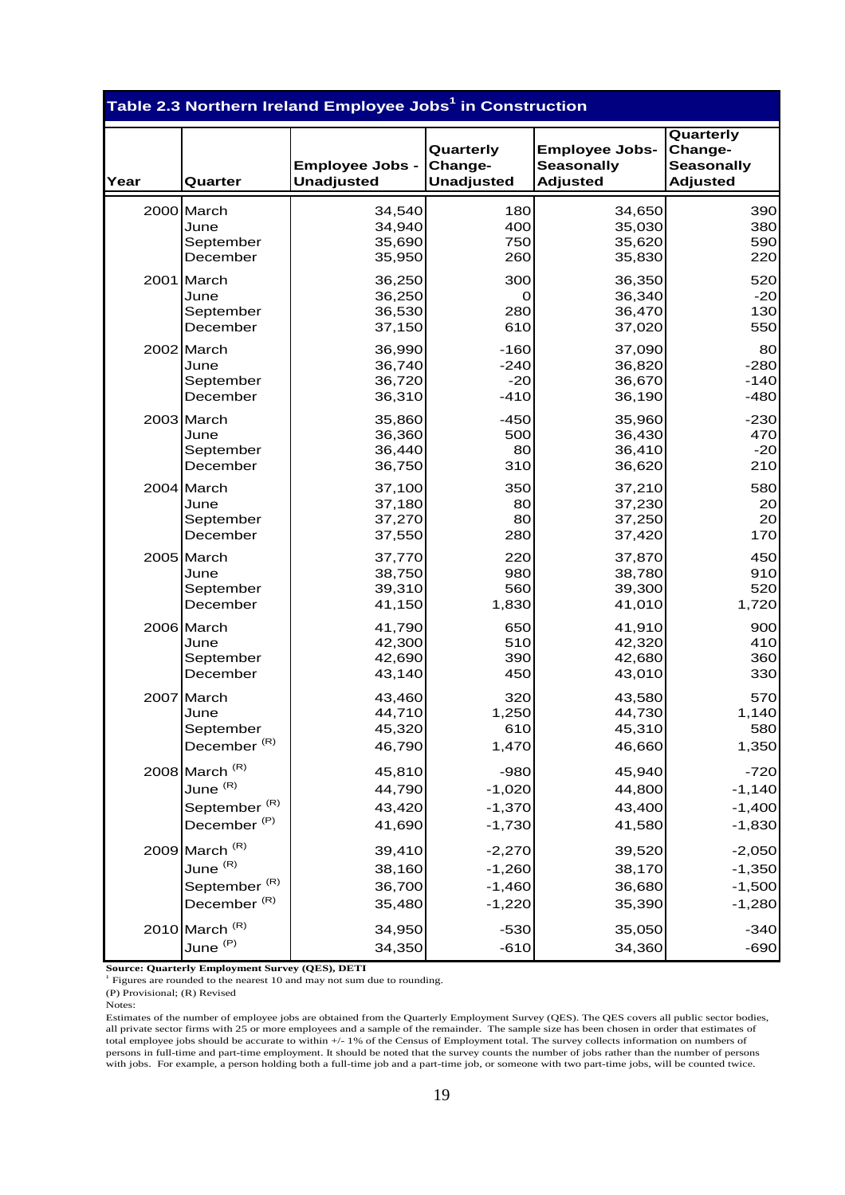|      |                                   | Table 2.3 Northern Ireland Employee Jobs <sup>1</sup> in Construction |                                           |                                                               |                                                              |
|------|-----------------------------------|-----------------------------------------------------------------------|-------------------------------------------|---------------------------------------------------------------|--------------------------------------------------------------|
| Year | Quarter                           | <b>Employee Jobs -</b><br><b>Unadjusted</b>                           | Quarterly<br>Change-<br><b>Unadjusted</b> | <b>Employee Jobs-</b><br><b>Seasonally</b><br><b>Adjusted</b> | Quarterly<br>Change-<br><b>Seasonally</b><br><b>Adjusted</b> |
|      | 2000 March                        | 34,540                                                                | 180                                       | 34,650                                                        | 390                                                          |
|      | June                              | 34,940                                                                | 400                                       | 35,030                                                        | 380                                                          |
|      | September                         | 35,690                                                                | 750                                       | 35,620                                                        | 590                                                          |
|      | December                          | 35,950                                                                | 260                                       | 35,830                                                        | 220                                                          |
|      | 2001 March                        | 36,250                                                                | 300                                       | 36,350                                                        | 520                                                          |
|      | June                              | 36,250                                                                | 0                                         | 36,340                                                        | $-20$                                                        |
|      | September                         | 36,530                                                                | 280                                       | 36,470                                                        | 130                                                          |
|      | December                          | 37,150                                                                | 610                                       | 37,020                                                        | 550                                                          |
|      | 2002 March                        | 36,990                                                                | $-160$                                    | 37,090                                                        | 80                                                           |
|      | June                              | 36,740                                                                | $-240$                                    | 36,820                                                        | $-280$                                                       |
|      | September                         | 36,720                                                                | $-20$                                     | 36,670                                                        | $-140$                                                       |
|      | December                          | 36,310                                                                | $-410$                                    | 36,190                                                        | $-480$                                                       |
|      | 2003 March                        | 35,860                                                                | $-450$                                    | 35,960                                                        | $-230$                                                       |
|      | June                              | 36,360                                                                | 500                                       | 36,430                                                        | 470                                                          |
|      | September                         | 36,440                                                                | 80                                        | 36,410                                                        | $-20$                                                        |
|      | December                          | 36,750                                                                | 310                                       | 36,620                                                        | 210                                                          |
|      | 2004 March                        | 37,100                                                                | 350                                       | 37,210                                                        | 580                                                          |
|      | June                              | 37,180                                                                | 80                                        | 37,230                                                        | 20 <sub>l</sub>                                              |
|      | September                         | 37,270                                                                | 80 <sub>0</sub>                           | 37,250                                                        | 20 <sub>l</sub>                                              |
|      | December                          | 37,550                                                                | 280                                       | 37,420                                                        | 170                                                          |
|      | 2005 March                        | 37,770                                                                | 220                                       | 37,870                                                        | 450                                                          |
|      | June                              | 38,750                                                                | 980                                       | 38,780                                                        | 910                                                          |
|      | September                         | 39,310                                                                | 560                                       | 39,300                                                        | 520                                                          |
|      | December                          | 41,150                                                                | 1,830                                     | 41,010                                                        | 1,720                                                        |
|      | 2006 March                        | 41,790                                                                | 650                                       | 41,910                                                        | 900                                                          |
|      | June                              | 42,300                                                                | 510                                       | 42,320                                                        | 410                                                          |
|      | September                         | 42,690                                                                | 390                                       | 42,680                                                        | 360                                                          |
|      | December                          | 43,140                                                                | 450                                       | 43,010                                                        | 330                                                          |
|      | 2007 March                        | 43,460                                                                | 320                                       | 43,580                                                        | 570                                                          |
|      | June                              | 44,710                                                                | 1,250                                     | 44,730                                                        | 1,140                                                        |
|      | September                         | 45,320                                                                | 610                                       | 45,310                                                        | 580                                                          |
|      | December $(R)$                    | 46,790                                                                | 1,470                                     | 46,660                                                        | 1,350                                                        |
|      | 2008 March $(R)$                  | 45,810                                                                | $-980$                                    | 45,940                                                        | $-720$                                                       |
|      | June $(R)$                        | 44,790                                                                | $-1,020$                                  | 44,800                                                        | $-1,140$                                                     |
|      | September <sup>(R)</sup>          | 43,420                                                                | $-1,370$                                  | 43,400                                                        | $-1,400$                                                     |
|      | December <sup>(P)</sup>           | 41,690                                                                | $-1,730$                                  | 41,580                                                        | $-1,830$                                                     |
|      | 2009 March $(R)$                  | 39,410                                                                | $-2,270$                                  | 39,520                                                        | $-2,050$                                                     |
|      | June $^{\left(\mathrm{R}\right)}$ | 38,160                                                                | $-1,260$                                  | 38,170                                                        | $-1,350$                                                     |
|      | September <sup>(R)</sup>          | 36,700                                                                | $-1,460$                                  | 36,680                                                        | $-1,500$                                                     |
|      | December <sup>(R)</sup>           | 35,480                                                                | $-1,220$                                  | 35,390                                                        | $-1,280$                                                     |
|      | 2010 March $(R)$                  | 34,950                                                                | $-530$                                    | 35,050                                                        | $-340$                                                       |
|      | June <sup>(P)</sup>               | 34,350                                                                | $-610$                                    | 34,360                                                        | $-690$                                                       |

**Source: Quarterly Employment Survey (QES), DETI** <sup>1</sup> Figures are rounded to the nearest 10 and may not sum due to rounding.

(P) Provisional; (R) Revised

Notes:

Estimates of the number of employee jobs are obtained from the Quarterly Employment Survey (QES). The QES covers all public sector bodies, all private sector firms with 25 or more employees and a sample of the remainder. The sample size has been chosen in order that estimates of total employee jobs should be accurate to within +/- 1% of the Census of Employment total. The survey collects information on numbers of persons in full-time and part-time employment. It should be noted that the survey counts the number of jobs rather than the number of persons with jobs. For example, a person holding both a full-time job and a part-time job, or someone with two part-time jobs, will be counted twice.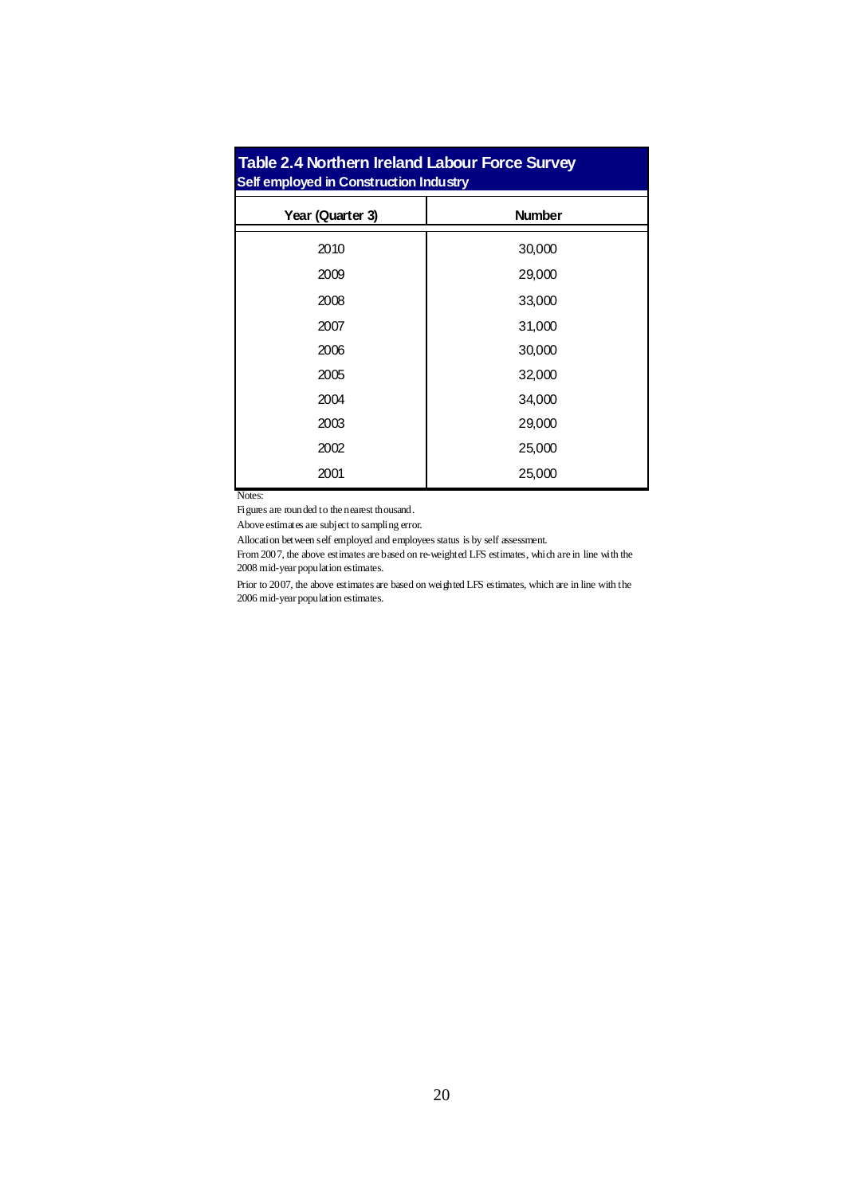| <b>Table 2.4 Northern Ireland Labour Force Survey</b><br>Self employed in Construction Industry |               |  |  |  |  |  |  |  |  |
|-------------------------------------------------------------------------------------------------|---------------|--|--|--|--|--|--|--|--|
| Year (Quarter 3)                                                                                | <b>Number</b> |  |  |  |  |  |  |  |  |
| 2010                                                                                            | 30,000        |  |  |  |  |  |  |  |  |
| 2009                                                                                            | 29,000        |  |  |  |  |  |  |  |  |
| 2008                                                                                            | 33,000        |  |  |  |  |  |  |  |  |
| 2007                                                                                            | 31,000        |  |  |  |  |  |  |  |  |
| 2006                                                                                            | 30,000        |  |  |  |  |  |  |  |  |
| 2005                                                                                            | 32,000        |  |  |  |  |  |  |  |  |
| 2004                                                                                            | 34,000        |  |  |  |  |  |  |  |  |
| 2003                                                                                            | 29,000        |  |  |  |  |  |  |  |  |
| 2002                                                                                            | 25,000        |  |  |  |  |  |  |  |  |
| 2001                                                                                            | 25,000        |  |  |  |  |  |  |  |  |

Notes:

Figures are rounded to the nearest thousand.

Above estimates are subject to sampling error.

Allocation between self employed and employees status is by self assessment.

 From 2007, the above estimates are based on re-weighted LFS estimates, which are in line with the 2008 mid-year population estimates.

Prior to 2007, the above estimates are based on weighted LFS estimates, which are in line with the 2006 mid-year population estimates.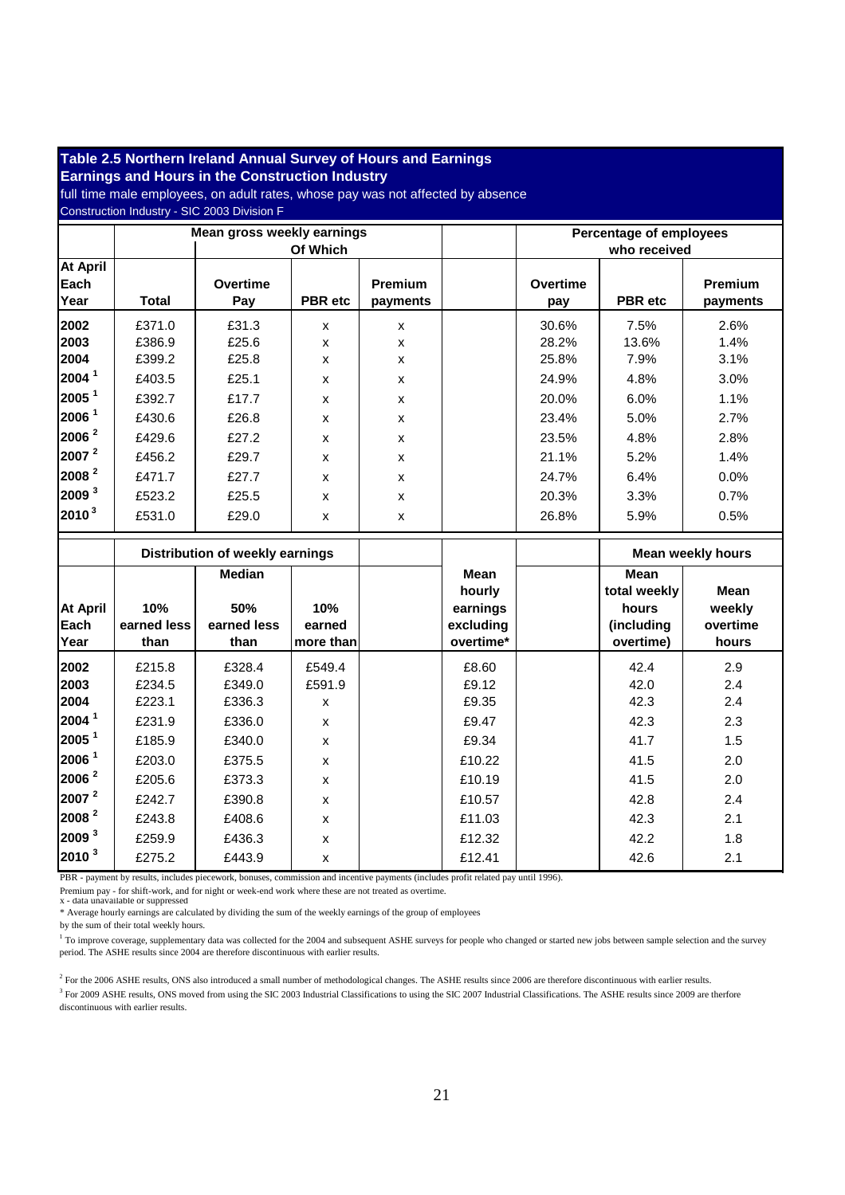#### full time male employees, on adult rates, whose pay was not affected by absence **Table 2.5 Northern Ireland Annual Survey of Hours and Earnings Earnings and Hours in the Construction Industry**  Construction Industry - SIC 2003 Division F **Mean gross weekly earnings Of Which Percentage of employees who received At April Each**  Year | Total **Overtime Pay PBR etc Premium payments Overtime pay PBR etc Premium payments 2002 |** £371.0 | £31.3 | x | | 30.6% | 7.5% | 2.6% **2003 |** £386.9 | £25.6 | x | x | 28.2% | 13.6% | 1.4% **2004** £399.2 £25.8 x x 25.8% 7.9% 3.1% **2004 <sup>1</sup>**£403.5 £25.1 x x 24.9% 4.8% 3.0% **2005 <sup>1</sup> | £392.7 | £17.7 | x | x | 20.0% | 6.0% | 1.1% 2006**  $^1$  **| £430.6 | £26.8 | x | x | 23.4% | 5.0% | 2.7% 2006**<sup>2</sup> **2006**<sup>2</sup> **2429.6 2.8% 2.7.2 x x x 1 2.3.5% 4.8% 2.8% 2007**  $2^{2}$  **2007 2456.2 229.7 x x x 1 21.1% 5.2%** 1.4% **2008 <sup>2</sup> | £471.7 | £27.7 | x | x | 24.7% | 6.4% | 0.0% 2009 <sup>3</sup>**£523.2 £25.5 x x 20.3% 3.3% 0.7% **2010 <sup>3</sup> | £531.0 | £29.0 | x | | 26.8% | 5.9% | 0.5% Distribution of weekly earnings Mean hourly earnings excluding overtime\* Mean weekly hours At April Each Year 10% earned less than Median 50% earned less than 10% earned more than Mean total weekly hours (including overtime) Mean weekly overtime hours 2002** £215.8 £328.4 £549.4 £8.60 42.4 2.9 **2003** £234.5 £349.0 £591.9 £9.12 42.0 2.4 **2004** £223.1 £336.3 x £9.35 42.3 2.4 **2004 <sup>1</sup>**£231.9 £336.0 x £9.47 42.3 2.3 **2005 <sup>1</sup> | £185.9 | £340.0 | x | | £9.34 | | 41.7 | 1.5 2006 <sup>1</sup> | £2**03.0 | £375.5 | x | E10.22 | | 41.5 | 2.0

PBR - payment by results, includes piecework, bonuses, commission and incentive payments (includes profit related pay until 1996).

Premium pay - for shift-work, and for night or week-end work where these are not treated as overtime.

x - data unavailable or suppressed

\* Average hourly earnings are calculated by dividing the sum of the weekly earnings of the group of employees

by the sum of their total weekly hours.

<sup>1</sup> To improve coverage, supplementary data was collected for the 2004 and subsequent ASHE surveys for people who changed or started new jobs between sample selection and the survey period. The ASHE results since 2004 are therefore discontinuous with earlier results.

**2006**<sup>2</sup> | £205.6 | £373.3 | x | E10.19 | 41.5 | 2.0 **2007**<sup>2</sup> **2007**<sup>2</sup> **2242.7 2.90.8 x 2.4 2.6 2.4 2.4 2.4 2008**<sup>2</sup> **2008**<sup>2</sup> **2008 2243.8 2408.6 x 2.1 2.1 2.1 2.1 2009<sup>3</sup> | £259.9 | £436.3 | x | | £12.32 | | 42.2 | 1.8 2010 <sup>3</sup> | £275.2 | £443.9 | x | | £12.41 | | 42.6 | 2.1** 

 $<sup>2</sup>$  For the 2006 ASHE results, ONS also introduced a small number of methodological changes. The ASHE results since 2006 are therefore discontinuous with earlier results.</sup>  $3$  For 2009 ASHE results, ONS moved from using the SIC 2003 Industrial Classifications to using the SIC 2007 Industrial Classifications. The ASHE results since 2009 are therfore discontinuous with earlier results.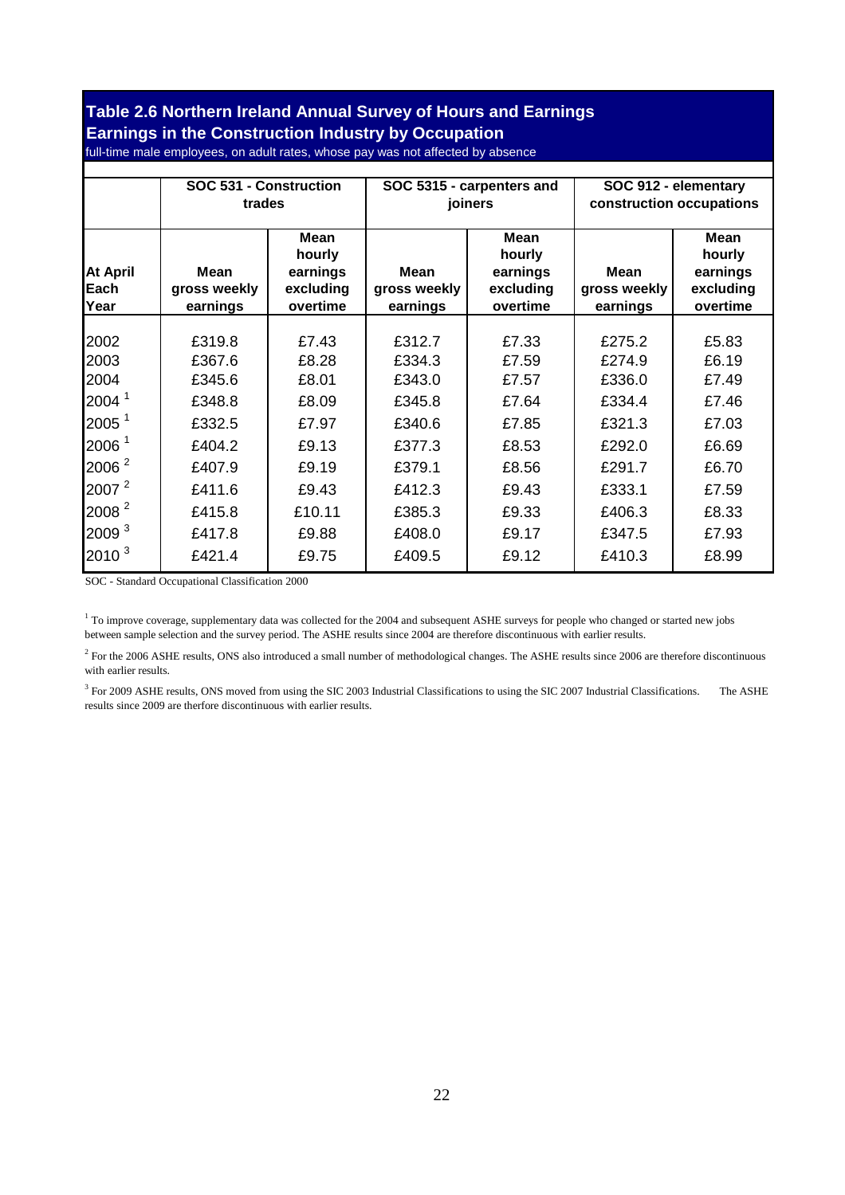#### **Table 2.6 Northern Ireland Annual Survey of Hours and Earnings Earnings in the Construction Industry by Occupation**

full-time male employees, on adult rates, whose pay was not affected by absence

|                          | SOC 531 - Construction<br>trades        |                                                            |                                  | SOC 5315 - carpenters and<br>joiners                       | SOC 912 - elementary<br>construction occupations |                                                            |  |
|--------------------------|-----------------------------------------|------------------------------------------------------------|----------------------------------|------------------------------------------------------------|--------------------------------------------------|------------------------------------------------------------|--|
| At April<br>Each<br>Year | <b>Mean</b><br>gross weekly<br>earnings | <b>Mean</b><br>hourly<br>earnings<br>excluding<br>overtime | Mean<br>gross weekly<br>earnings | <b>Mean</b><br>hourly<br>earnings<br>excluding<br>overtime | <b>Mean</b><br>gross weekly<br>earnings          | <b>Mean</b><br>hourly<br>earnings<br>excluding<br>overtime |  |
| 2002                     | £319.8                                  | £7.43                                                      | £312.7                           | £7.33                                                      | £275.2                                           | £5.83                                                      |  |
| 2003                     | £367.6                                  | £8.28                                                      | £334.3                           | £7.59                                                      | £274.9                                           | £6.19                                                      |  |
| 2004                     | £345.6                                  | £8.01                                                      | £343.0                           | £7.57                                                      | £336.0                                           | £7.49                                                      |  |
| 2004 <sup>1</sup>        | £348.8                                  | £8.09                                                      | £345.8                           | £7.64                                                      | £334.4                                           | £7.46                                                      |  |
| 2005 <sup>1</sup>        | £332.5                                  | £7.97                                                      | £340.6                           | £7.85                                                      | £321.3                                           | £7.03                                                      |  |
| 2006 <sup>1</sup>        | £404.2                                  | £9.13                                                      | £377.3                           | £8.53                                                      | £292.0                                           | £6.69                                                      |  |
| 2006 <sup>2</sup>        | £407.9                                  | £9.19                                                      | £379.1                           | £8.56                                                      | £291.7                                           | £6.70                                                      |  |
| 2007 <sup>2</sup>        | £411.6                                  | £9.43                                                      | £412.3                           | £9.43                                                      | £333.1                                           | £7.59                                                      |  |
| 2008 <sup>2</sup>        | £415.8                                  | £10.11                                                     | £385.3                           | £9.33                                                      | £406.3                                           | £8.33                                                      |  |
| 2009 <sup>3</sup>        | £417.8                                  | £9.88                                                      | £408.0                           | £9.17                                                      | £347.5                                           | £7.93                                                      |  |
| 2010 <sup>3</sup>        | £421.4                                  | £9.75                                                      | £409.5                           | £9.12                                                      | £410.3                                           | £8.99                                                      |  |
|                          |                                         |                                                            |                                  |                                                            |                                                  |                                                            |  |

SOC - Standard Occupational Classification 2000

<sup>1</sup> To improve coverage, supplementary data was collected for the 2004 and subsequent ASHE surveys for people who changed or started new jobs between sample selection and the survey period. The ASHE results since 2004 are therefore discontinuous with earlier results.

 $^2$  For the 2006 ASHE results, ONS also introduced a small number of methodological changes. The ASHE results since 2006 are therefore discontinuous with earlier results.

 $3$  For 2009 ASHE results, ONS moved from using the SIC 2003 Industrial Classifications to using the SIC 2007 Industrial Classifications. The ASHE results since 2009 are therfore discontinuous with earlier results.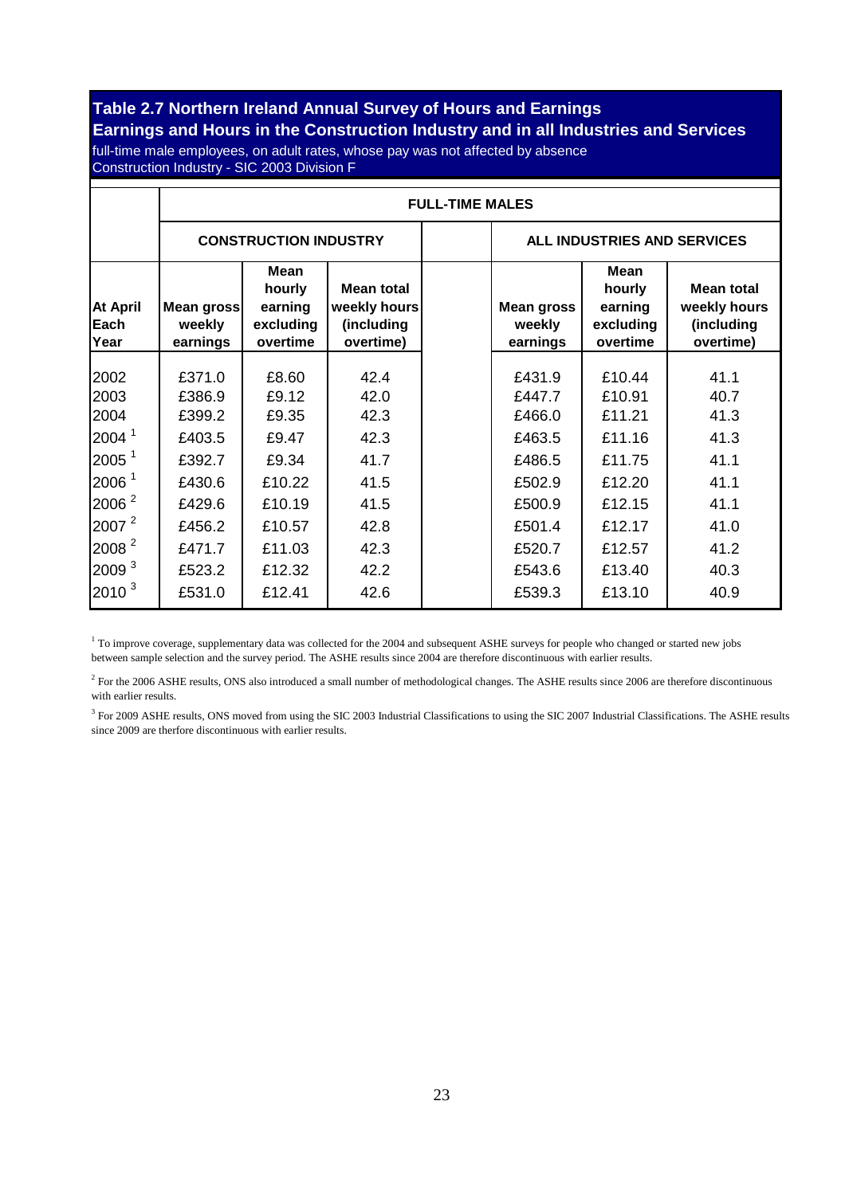#### **Table 2.7 Northern Ireland Annual Survey of Hours and Earnings Earnings and Hours in the Construction Industry and in all Industries and Services**

full-time male employees, on adult rates, whose pay was not affected by absence Construction Industry - SIC 2003 Division F

|                                                                                                                                                    | <b>FULL-TIME MALES</b>                                                                 |                                                                                   |                                                                      |  |                                                                                        |                                                                                        |                                                                      |  |  |  |  |
|----------------------------------------------------------------------------------------------------------------------------------------------------|----------------------------------------------------------------------------------------|-----------------------------------------------------------------------------------|----------------------------------------------------------------------|--|----------------------------------------------------------------------------------------|----------------------------------------------------------------------------------------|----------------------------------------------------------------------|--|--|--|--|
|                                                                                                                                                    |                                                                                        | <b>CONSTRUCTION INDUSTRY</b>                                                      |                                                                      |  | ALL INDUSTRIES AND SERVICES                                                            |                                                                                        |                                                                      |  |  |  |  |
| <b>At April</b><br>Each<br>Year                                                                                                                    | Mean gross<br>weekly<br>earnings                                                       | <b>Mean</b><br>hourly<br>earning<br>excluding<br>overtime                         | <b>Mean total</b><br>weekly hours<br>(including<br>overtime)         |  | <b>Mean gross</b><br>weekly<br>earnings                                                | <b>Mean</b><br>hourly<br>earning<br>excluding<br>overtime                              | <b>Mean total</b><br>weekly hours<br>(including<br>overtime)         |  |  |  |  |
| 2002<br>2003<br>2004<br>2004 <sup>1</sup><br>2005 <sup>1</sup><br>2006 <sup>1</sup><br>2006 <sup>2</sup><br>2007 <sup>2</sup><br>2008 <sup>2</sup> | £371.0<br>£386.9<br>£399.2<br>£403.5<br>£392.7<br>£430.6<br>£429.6<br>£456.2<br>£471.7 | £8.60<br>£9.12<br>£9.35<br>£9.47<br>£9.34<br>£10.22<br>£10.19<br>£10.57<br>£11.03 | 42.4<br>42.0<br>42.3<br>42.3<br>41.7<br>41.5<br>41.5<br>42.8<br>42.3 |  | £431.9<br>£447.7<br>£466.0<br>£463.5<br>£486.5<br>£502.9<br>£500.9<br>£501.4<br>£520.7 | £10.44<br>£10.91<br>£11.21<br>£11.16<br>£11.75<br>£12.20<br>£12.15<br>£12.17<br>£12.57 | 41.1<br>40.7<br>41.3<br>41.3<br>41.1<br>41.1<br>41.1<br>41.0<br>41.2 |  |  |  |  |
| 2009 <sup>3</sup><br>$2010^{3}$                                                                                                                    | £523.2<br>£531.0                                                                       | £12.32<br>£12.41                                                                  | 42.2<br>42.6                                                         |  | £543.6<br>£539.3                                                                       | £13.40<br>£13.10                                                                       | 40.3<br>40.9                                                         |  |  |  |  |

 $1$  To improve coverage, supplementary data was collected for the 2004 and subsequent ASHE surveys for people who changed or started new jobs between sample selection and the survey period. The ASHE results since 2004 are therefore discontinuous with earlier results.

 $<sup>2</sup>$  For the 2006 ASHE results, ONS also introduced a small number of methodological changes. The ASHE results since 2006 are therefore discontinuous</sup> with earlier results.

 $3$  For 2009 ASHE results, ONS moved from using the SIC 2003 Industrial Classifications to using the SIC 2007 Industrial Classifications. The ASHE results since 2009 are therfore discontinuous with earlier results.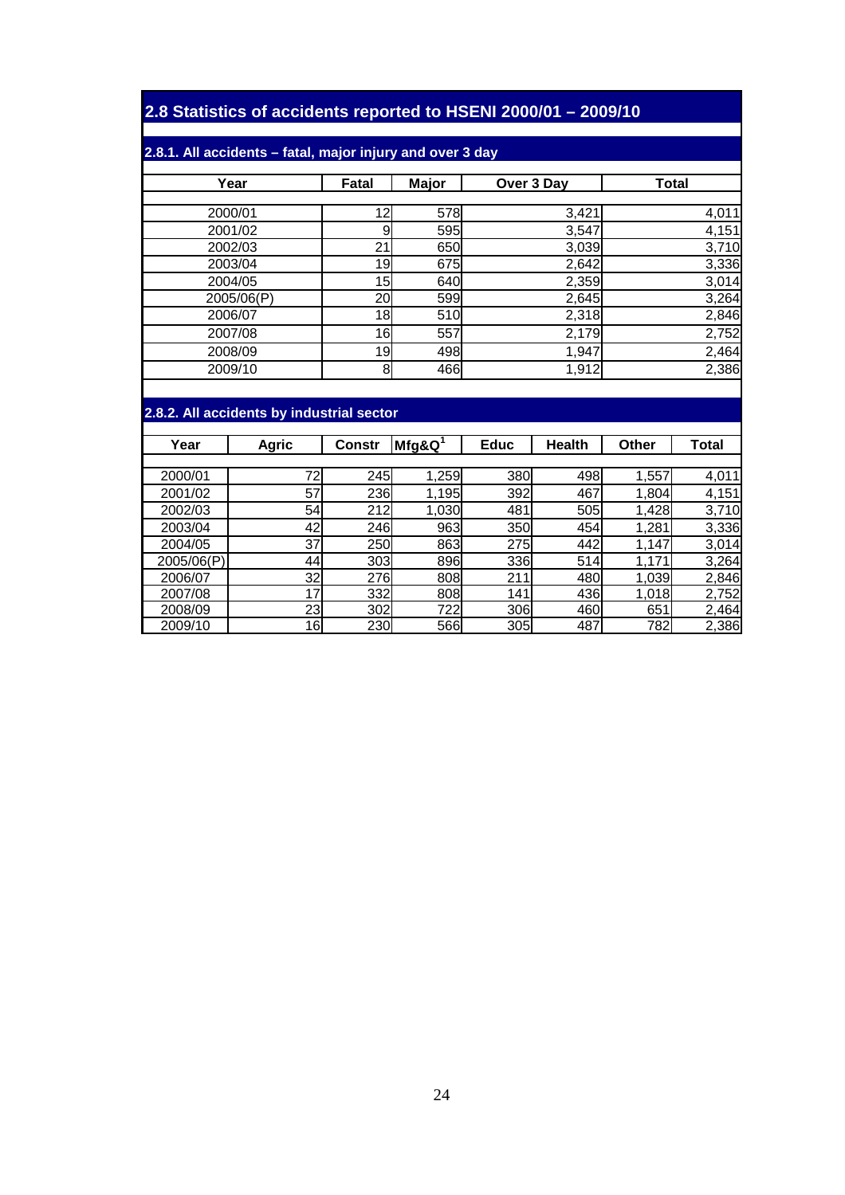## **2.8 Statistics of accidents reported to HSENI 2000/01 – 2009/10**

#### **2.8.1. All accidents – fatal, major injury and over 3 day**

| Year       | Fatal | <b>Major</b> | Over 3 Day | <b>Total</b> |
|------------|-------|--------------|------------|--------------|
|            |       |              |            |              |
| 2000/01    | 12    | 578          | 3,421      | 4,011        |
| 2001/02    | 9     | 595          | 3,547      | 4,151        |
| 2002/03    | 21    | 650          | 3,039      | 3,710        |
| 2003/04    | 19    | 675          | 2,642      | 3,336        |
| 2004/05    | 15    | 640          | 2,359      | 3,014        |
| 2005/06(P) | 20    | 599          | 2,645      | 3,264        |
| 2006/07    | 18    | 510          | 2,318      | 2,846        |
| 2007/08    | 16    | 557          | 2,179      | 2,752        |
| 2008/09    | 19    | 498          | 1,947      | 2,464        |
| 2009/10    | 8     | 466          | 1,912      | 2,386        |

### **2.8.2. All accidents by industrial sector**

| Year       | <b>Agric</b> | <b>Constr</b> | $Mfg$ &Q <sup>1</sup> | <b>Educ</b> | <b>Health</b> | Other | Total |
|------------|--------------|---------------|-----------------------|-------------|---------------|-------|-------|
|            |              |               |                       |             |               |       |       |
| 2000/01    | 72           | 245           | 1,259                 | 380         | 498           | 1,557 | 4,011 |
| 2001/02    | 57           | 236           | 1,195                 | 392         | 467           | 1,804 | 4,151 |
| 2002/03    | 54           | 212           | 1,030                 | 481         | 505           | 1,428 | 3,710 |
| 2003/04    | 42           | 246           | 963                   | 350         | 454           | 1,281 | 3,336 |
| 2004/05    | 37           | 250           | 863                   | 275         | 442           | 1,147 | 3,014 |
| 2005/06(P) | 44           | 303           | 896                   | 336         | 514           | 1,171 | 3,264 |
| 2006/07    | 32           | 276           | 808                   | 211         | 480           | 1,039 | 2,846 |
| 2007/08    | 17           | 332           | 808                   | 141         | 436           | 1,018 | 2,752 |
| 2008/09    | 23           | 302           | 722                   | 306         | 460           | 651   | 2,464 |
| 2009/10    | 16           | 230           | 566                   | 305         | 487           | 782   | 2,386 |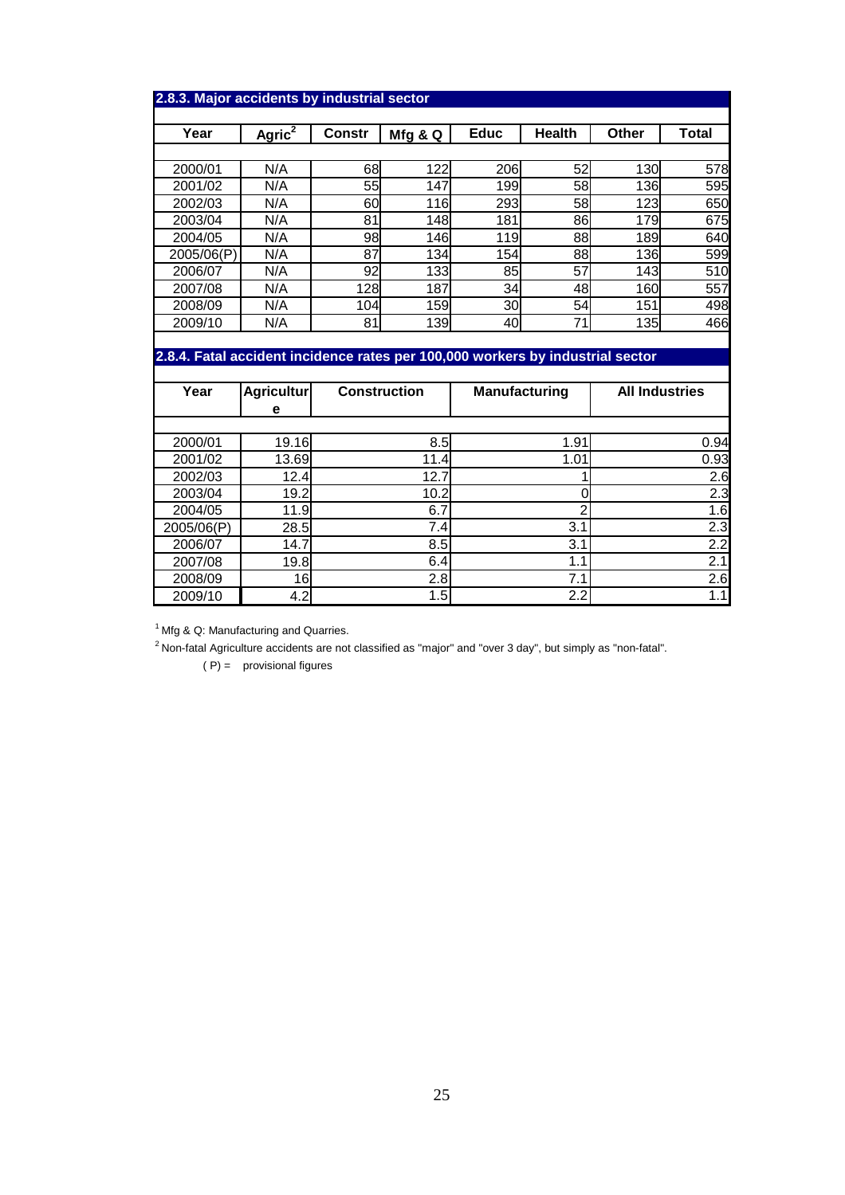| Year                                                                           | Agric <sup>2</sup> | <b>Constr</b>       | Mfg & Q | <b>Educ</b>          | <b>Health</b> | Other                 | <b>Total</b> |
|--------------------------------------------------------------------------------|--------------------|---------------------|---------|----------------------|---------------|-----------------------|--------------|
|                                                                                |                    |                     |         |                      |               |                       |              |
| 2000/01                                                                        | N/A                | 68I                 | 122     | 206                  | 52            | 130                   | 578          |
| 2001/02                                                                        | N/A                | 55                  | 147     | 199                  | 58            | 136                   | 595          |
| 2002/03                                                                        | N/A                | 60                  | 116     | 293                  | <b>58</b>     | 123l                  | 650          |
| 2003/04                                                                        | N/A                | 81                  | 148     | 181                  | 86            | 179                   | 675          |
| 2004/05                                                                        | N/A                | 98                  | 146     | 119                  | 88            | <b>189</b>            | 640          |
| 2005/06(P)                                                                     | N/A                | 87                  | 134     | 154                  | 88            | 136                   | 599          |
| 2006/07                                                                        | N/A                | 92                  | 133     | 85                   | 57            | 143                   | 510          |
| 2007/08                                                                        | N/A                | 128                 | 187     | 34                   | 48            | 160                   | 557          |
| 2008/09                                                                        | N/A                | 104                 | 159     | 30                   | 54            | 151                   | 498          |
| 2009/10                                                                        | N/A                | 81                  | 139     | 40                   | 71            | <b>135</b>            | 466          |
|                                                                                |                    |                     |         |                      |               |                       |              |
| 2.8.4. Fatal accident incidence rates per 100,000 workers by industrial sector |                    |                     |         |                      |               |                       |              |
|                                                                                |                    |                     |         |                      |               |                       |              |
| Year                                                                           | <b>Agricultur</b>  | <b>Construction</b> |         | <b>Manufacturing</b> |               | <b>All Industries</b> |              |
|                                                                                | е                  |                     |         |                      |               |                       |              |

| 2000/01    | 19.16 | 8.5   | 1.91      | 0.94 |
|------------|-------|-------|-----------|------|
| 2001/02    | 13.69 | 11.4' | 1.01      | 0.93 |
| 2002/03    | 12.4  | 12.7  |           | 2.6  |
| 2003/04    | 19.2  | 10.2  |           | 2.3  |
| 2004/05    | 11.9  | 6.7   |           | l.6l |
| 2005/06(P) | 28.5  | 7.4   | 3.1       | 2.3  |
| 2006/07    | 14.7  | 8.5   | 3.1       | 2.2  |
| 2007/08    | 19.8  | 6.4   | 1<br>ı. I | 2.   |
| 2008/09    | 16    | 2.8   | 7.1       | 2.6I |
| 2009/10    | 4.2   | 1.5   | 2.2       | 1.1  |

 $1$  Mfg & Q: Manufacturing and Quarries.

2 Non-fatal Agriculture accidents are not classified as "major" and "over 3 day", but simply as "non-fatal".

 $(P) =$  provisional figures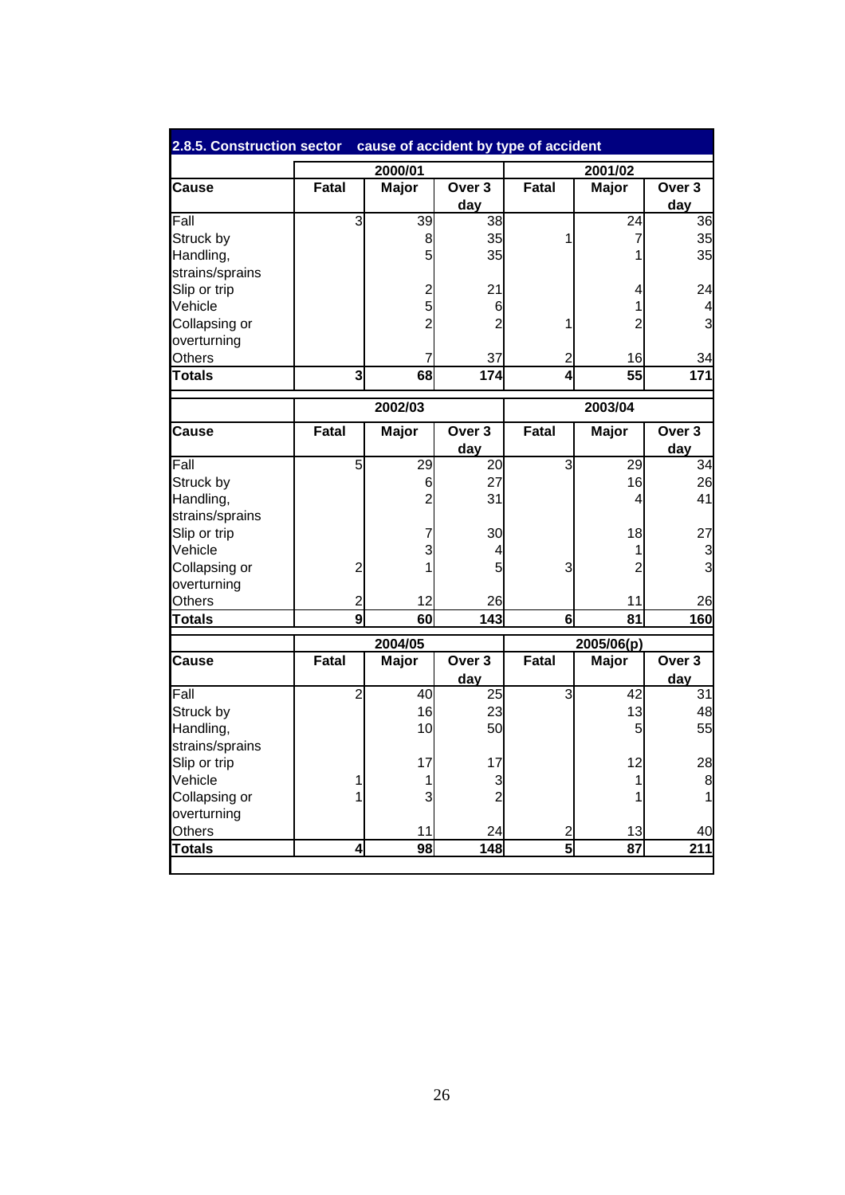| 2.8.5. Construction sector cause of accident by type of accident |                |                 |                                 |                |                 |                          |
|------------------------------------------------------------------|----------------|-----------------|---------------------------------|----------------|-----------------|--------------------------|
|                                                                  |                | 2000/01         |                                 |                | 2001/02         |                          |
| Cause                                                            | Fatal          | <b>Major</b>    | Over <sub>3</sub><br><u>day</u> | Fatal          | Major           | Over 3                   |
| Fall                                                             | ω              | 39              | 38                              |                | 24              | day<br>36                |
| Struck by                                                        |                | $\mathbf{8}$    | 35                              | 1              | 7               | 35                       |
| Handling,                                                        |                | 5               | 35                              |                |                 | 35                       |
| strains/sprains                                                  |                |                 |                                 |                |                 |                          |
| Slip or trip                                                     |                |                 | 21                              |                |                 | 24                       |
| Vehicle                                                          |                | $\frac{2}{5}$   | 6                               |                | 1               | 4                        |
| Collapsing or                                                    |                | $\overline{2}$  | $\overline{2}$                  | 1              | $\overline{2}$  | 3                        |
| overturning                                                      |                |                 |                                 |                |                 |                          |
| Others                                                           |                | 7               | 37                              | $\overline{c}$ | 16              | 34                       |
| <b>Totals</b>                                                    | ω              | 68              | 174                             | 4              | 55              | $\frac{1}{171}$          |
|                                                                  |                |                 |                                 |                |                 |                          |
|                                                                  |                | 2002/03         |                                 |                | 2003/04         |                          |
| Cause                                                            | Fatal          | Major           | Over <sub>3</sub><br>day        | <b>Fatal</b>   | Major           | Over <sub>3</sub><br>day |
| Fall                                                             | 5              | 29              | 20                              | ω              | 29              | 34                       |
| Struck by                                                        |                | 6               | 27                              |                | 16              | 26                       |
| Handling,                                                        |                | $\overline{c}$  | 31                              |                | 4               | 41                       |
| strains/sprains                                                  |                |                 |                                 |                |                 |                          |
| Slip or trip                                                     |                | 7               | 30                              |                | 18              | 27                       |
| Vehicle                                                          |                | 3               | 4                               |                | $\mathbf{1}$    | 3                        |
| Collapsing or                                                    | $\overline{a}$ | 1               | 5                               | 3              | $\overline{c}$  | $\overline{3}$           |
| overturning                                                      |                |                 |                                 |                |                 |                          |
| Others                                                           | $\overline{c}$ | 12              | 26                              |                | 11              | 26                       |
| <b>Totals</b>                                                    | 9              | 60              | 143                             | 6              | 81              | 160                      |
|                                                                  |                | 2004/05         |                                 | 2005/06(p)     |                 |                          |
| <b>Cause</b>                                                     | Fatal          | <b>Major</b>    | Over <sub>3</sub>               | Fatal          | <b>Major</b>    | Over <sub>3</sub>        |
|                                                                  |                |                 | day                             |                |                 | day                      |
| Fall                                                             | $\overline{2}$ | $\overline{40}$ | $\overline{25}$                 | 3              | $\overline{42}$ | $\overline{31}$          |
| Struck by                                                        |                | 16              | 23                              |                | 13              | 48                       |
| Handling,                                                        |                | 10              | 50                              |                | $\overline{5}$  | 55                       |
| strains/sprains                                                  |                |                 |                                 |                |                 |                          |
| Slip or trip                                                     |                | 17              | 17                              |                | 12              | 28                       |
| Vehicle                                                          | 1              | 1               | 3                               |                | 1               | 8                        |
| Collapsing or                                                    | 1              | $\overline{3}$  | $\overline{2}$                  |                |                 | 1                        |
| overturning                                                      |                |                 |                                 |                |                 |                          |
| Others                                                           |                | 11              | 24                              | $\overline{a}$ | 13              | 40                       |
|                                                                  |                |                 |                                 | $\overline{5}$ |                 |                          |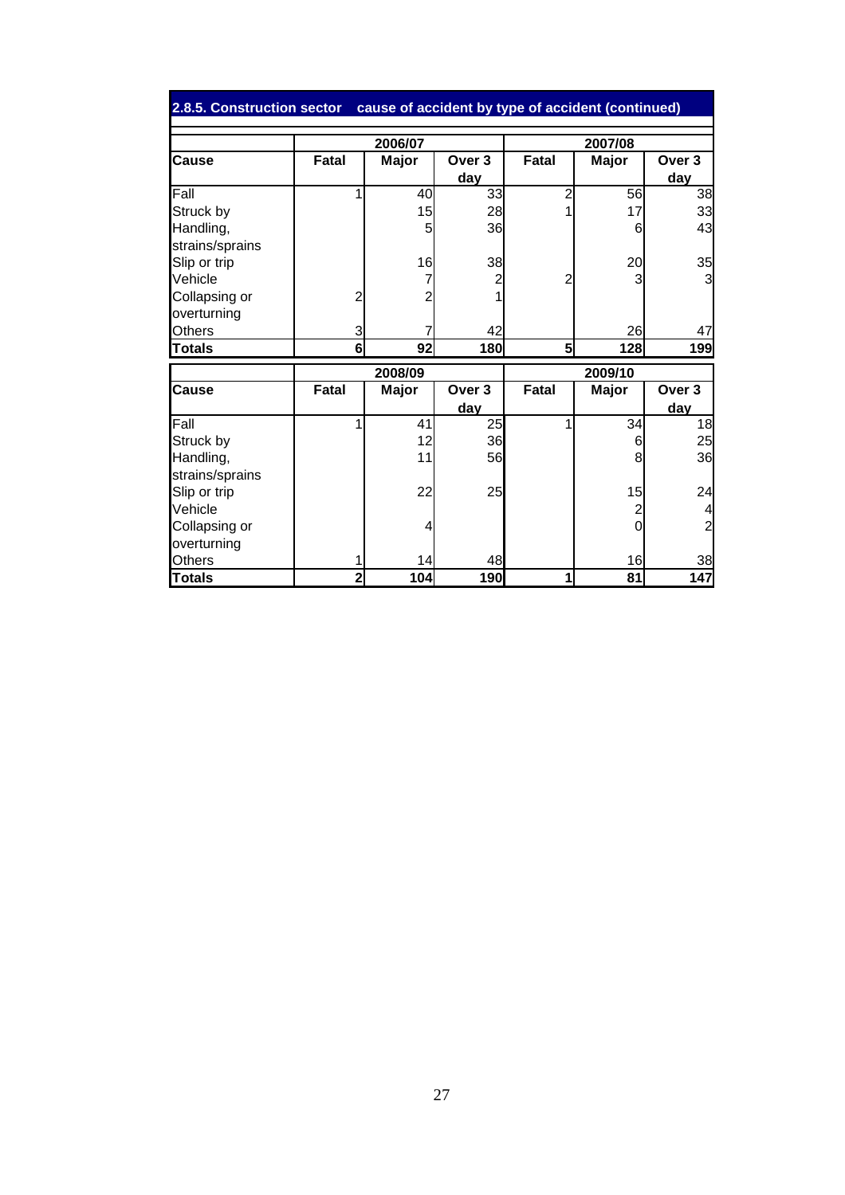|                 |                | 2006/07        |                   | 2007/08        |                |                   |
|-----------------|----------------|----------------|-------------------|----------------|----------------|-------------------|
| <b>Cause</b>    | <b>Fatal</b>   | <b>Major</b>   | Over <sub>3</sub> | <b>Fatal</b>   | Major          | Over <sub>3</sub> |
|                 |                |                | <u>day</u>        |                |                | day               |
| Fall            | 1              | 40             | 33                | $\overline{2}$ | 56             | 38                |
| Struck by       |                | 15             | 28                |                | 17             | 33                |
| Handling,       |                | 5              | 36                |                | 6              | 43                |
| strains/sprains |                |                |                   |                |                |                   |
| Slip or trip    |                | 16             | 38                |                | 20             | 35                |
| Vehicle         |                | 7              | 2                 | 2              |                | 3                 |
| Collapsing or   | 2              | $\overline{c}$ |                   |                |                |                   |
| overturning     |                |                |                   |                |                |                   |
| Others          | $\overline{3}$ |                | 42                |                | 26             | 47                |
| <b>Totals</b>   | 6              | 92             | 180               | 5              | 128            | 199               |
|                 |                | 2008/09        |                   | 2009/10        |                |                   |
| Cause           | <b>Fatal</b>   | <b>Major</b>   | Over 3            | <b>Fatal</b>   | <b>Major</b>   | Over <sub>3</sub> |
|                 |                |                | day               |                |                | day               |
| Fall            | 1              | 41             | 25                | 1              | 34             | 18                |
| Struck by       |                | 12             | 36                |                | 6              | 25                |
| Handling,       |                | 11             | 56                |                | 8              | 36                |
| strains/sprains |                |                |                   |                |                |                   |
| Slip or trip    |                | 22             | 25                |                | 15             | 24                |
| Vehicle         |                |                |                   |                | $\overline{2}$ | 4                 |
| Collapsing or   |                | 4              |                   |                | $\Omega$       | $\overline{c}$    |
| overturning     |                |                |                   |                |                |                   |
| Others          |                | 14             | 48                |                | 16             | 38                |
| <b>Totals</b>   | 2              | 104            | 190               | 1              | 81             | 147               |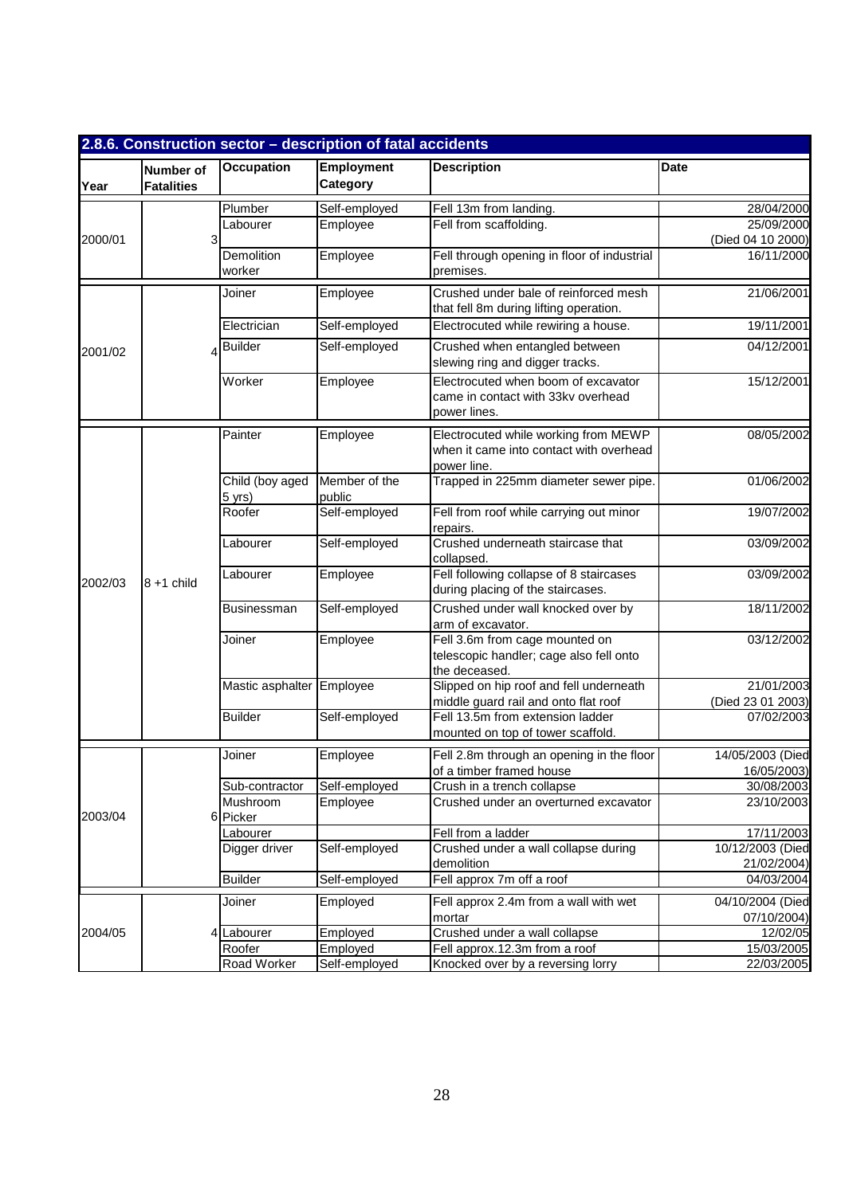|         |                                |                           | 2.8.6. Construction sector - description of fatal accidents |                                                                                                |                                 |
|---------|--------------------------------|---------------------------|-------------------------------------------------------------|------------------------------------------------------------------------------------------------|---------------------------------|
| Year    | Number of<br><b>Fatalities</b> | <b>Occupation</b>         | Employment<br>Category                                      | <b>Description</b>                                                                             | Date                            |
|         |                                | Plumber                   | Self-employed                                               | Fell 13m from landing.                                                                         | 28/04/2000                      |
|         |                                | Labourer                  | Employee                                                    | Fell from scaffolding.                                                                         | 25/09/2000                      |
| 2000/01 | 3                              |                           |                                                             |                                                                                                | (Died 04 10 2000)               |
|         |                                | Demolition<br>worker      | Employee                                                    | Fell through opening in floor of industrial<br>premises.                                       | 16/11/2000                      |
|         |                                | Joiner                    | Employee                                                    | Crushed under bale of reinforced mesh<br>that fell 8m during lifting operation.                | 21/06/2001                      |
|         |                                | Electrician               | Self-employed                                               | Electrocuted while rewiring a house.                                                           | 19/11/2001                      |
| 2001/02 |                                | <b>Builder</b>            | Self-employed                                               | Crushed when entangled between<br>slewing ring and digger tracks.                              | 04/12/2001                      |
|         |                                | Worker                    | Employee                                                    | Electrocuted when boom of excavator<br>came in contact with 33kv overhead<br>power lines.      | 15/12/2001                      |
|         |                                | Painter                   | Employee                                                    | Electrocuted while working from MEWP<br>when it came into contact with overhead<br>power line. | 08/05/2002                      |
|         |                                | Child (boy aged<br>5 yrs) | Member of the<br>public                                     | Trapped in 225mm diameter sewer pipe.                                                          | 01/06/2002                      |
|         |                                | Roofer                    | Self-employed                                               | Fell from roof while carrying out minor<br>repairs.                                            | 19/07/2002                      |
|         |                                | Labourer                  | Self-employed                                               | Crushed underneath staircase that<br>collapsed.                                                | 03/09/2002                      |
| 2002/03 | $8 + 1$ child                  | Labourer                  | Employee                                                    | Fell following collapse of 8 staircases<br>during placing of the staircases.                   | 03/09/2002                      |
|         |                                | <b>Businessman</b>        | Self-employed                                               | Crushed under wall knocked over by<br>arm of excavator.                                        | 18/11/2002                      |
|         |                                | Joiner                    | Employee                                                    | Fell 3.6m from cage mounted on<br>telescopic handler; cage also fell onto<br>the deceased.     | 03/12/2002                      |
|         |                                | Mastic asphalter Employee |                                                             | Slipped on hip roof and fell underneath                                                        | 21/01/2003                      |
|         |                                |                           |                                                             | middle guard rail and onto flat roof                                                           | (Died 23 01 2003)               |
|         |                                | <b>Builder</b>            | Self-employed                                               | Fell 13.5m from extension ladder<br>mounted on top of tower scaffold.                          | 07/02/2003                      |
|         |                                | Joiner                    | Employee                                                    | Fell 2.8m through an opening in the floor<br>of a timber framed house                          | 14/05/2003 (Died<br>16/05/2003) |
|         |                                | Sub-contractor            | Self-employed                                               | Crush in a trench collapse                                                                     | 30/08/2003                      |
| 2003/04 | 6                              | Mushroom<br>Picker        | Employee                                                    | Crushed under an overturned excavator                                                          | 23/10/2003                      |
|         |                                | Labourer                  |                                                             | Fell from a ladder                                                                             | 17/11/2003                      |
|         |                                | Digger driver             | Self-employed                                               | Crushed under a wall collapse during<br>demolition                                             | 10/12/2003 (Died<br>21/02/2004) |
|         |                                | <b>Builder</b>            | Self-employed                                               | Fell approx 7m off a roof                                                                      | 04/03/2004                      |
|         |                                | Joiner                    | Employed                                                    | Fell approx 2.4m from a wall with wet<br>mortar                                                | 04/10/2004 (Died<br>07/10/2004) |
| 2004/05 |                                | 4 Labourer                | Employed                                                    | Crushed under a wall collapse                                                                  | 12/02/05                        |
|         |                                | Roofer                    | Employed                                                    | Fell approx.12.3m from a roof                                                                  | 15/03/2005                      |
|         |                                | Road Worker               | Self-employed                                               | Knocked over by a reversing lorry                                                              | 22/03/2005                      |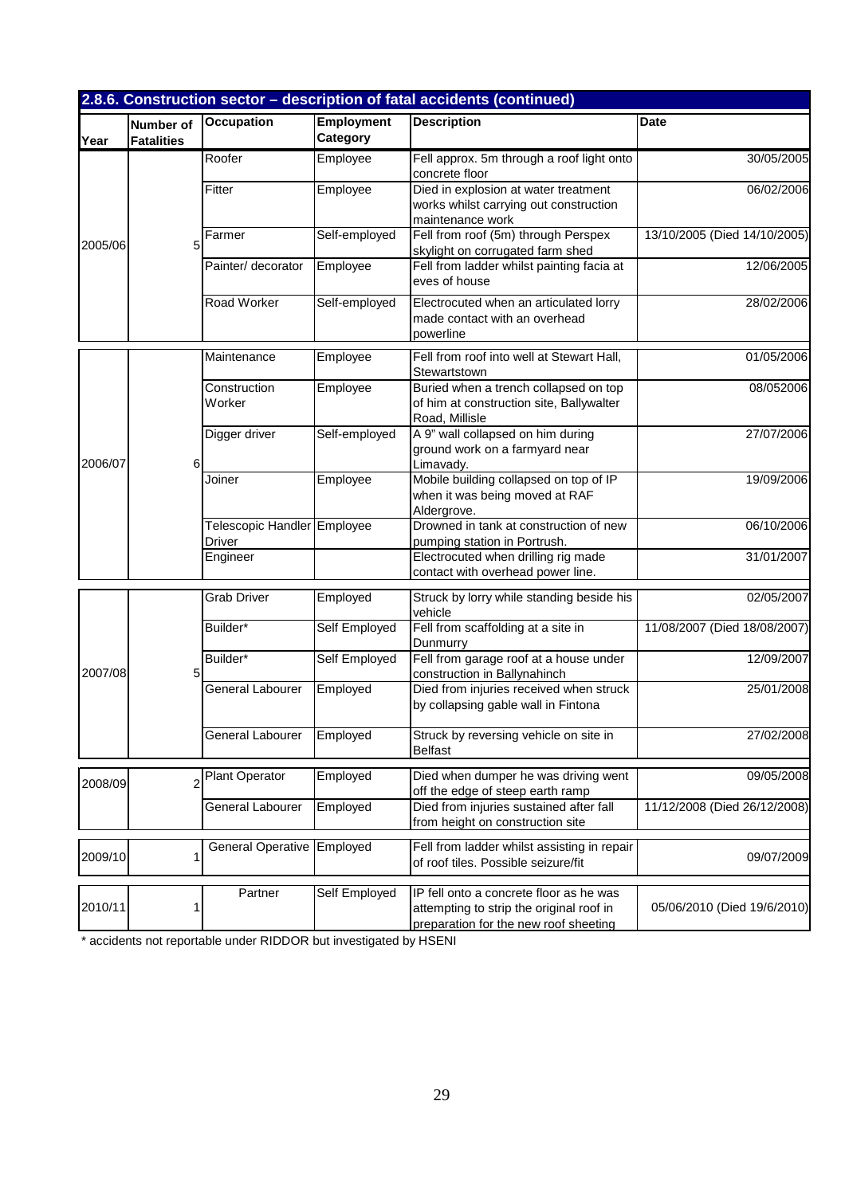|         |                                       |                                       |                        | 2.8.6. Construction sector - description of fatal accidents (continued)                                                      |                              |
|---------|---------------------------------------|---------------------------------------|------------------------|------------------------------------------------------------------------------------------------------------------------------|------------------------------|
| Year    | <b>Number of</b><br><b>Fatalities</b> | <b>Occupation</b>                     | Employment<br>Category | <b>Description</b>                                                                                                           | <b>Date</b>                  |
|         |                                       | Roofer                                | Employee               | Fell approx. 5m through a roof light onto<br>concrete floor                                                                  | 30/05/2005                   |
|         |                                       | Fitter                                | Employee               | Died in explosion at water treatment<br>works whilst carrying out construction<br>maintenance work                           | 06/02/2006                   |
| 2005/06 | 5                                     | Farmer                                | Self-employed          | Fell from roof (5m) through Perspex<br>skylight on corrugated farm shed                                                      | 13/10/2005 (Died 14/10/2005) |
|         |                                       | Painter/ decorator                    | Employee               | Fell from ladder whilst painting facia at<br>eves of house                                                                   | 12/06/2005                   |
|         |                                       | Road Worker                           | Self-employed          | Electrocuted when an articulated lorry<br>made contact with an overhead<br>powerline                                         | 28/02/2006                   |
|         |                                       | Maintenance                           | Employee               | Fell from roof into well at Stewart Hall,<br>Stewartstown                                                                    | 01/05/2006                   |
|         |                                       | Construction<br>Worker                | Employee               | Buried when a trench collapsed on top<br>of him at construction site, Ballywalter<br>Road, Millisle                          | 08/052006                    |
| 2006/07 | 6                                     | Digger driver                         | Self-employed          | A 9" wall collapsed on him during<br>ground work on a farmyard near<br>Limavady.                                             | 27/07/2006                   |
|         |                                       | Joiner                                | Employee               | Mobile building collapsed on top of IP<br>when it was being moved at RAF<br>Aldergrove.                                      | 19/09/2006                   |
|         |                                       | Telescopic Handler Employee<br>Driver |                        | Drowned in tank at construction of new<br>pumping station in Portrush.                                                       | 06/10/2006                   |
|         |                                       | Engineer                              |                        | Electrocuted when drilling rig made<br>contact with overhead power line.                                                     | 31/01/2007                   |
|         |                                       | <b>Grab Driver</b>                    | Employed               | Struck by lorry while standing beside his<br>vehicle                                                                         | 02/05/2007                   |
|         |                                       | Builder*                              | Self Employed          | Fell from scaffolding at a site in<br>Dunmurry                                                                               | 11/08/2007 (Died 18/08/2007) |
| 2007/08 | 5                                     | Builder*                              | Self Employed          | Fell from garage roof at a house under<br>construction in Ballynahinch                                                       | 12/09/2007                   |
|         |                                       | General Labourer                      | Employed               | Died from injuries received when struck<br>by collapsing gable wall in Fintona                                               | 25/01/2008                   |
|         |                                       | General Labourer                      | Employed               | Struck by reversing vehicle on site in<br><b>Belfast</b>                                                                     | 27/02/2008                   |
| 2008/09 |                                       | Plant Operator                        | Employed               | Died when dumper he was driving went<br>off the edge of steep earth ramp                                                     | 09/05/2008                   |
|         |                                       | General Labourer                      | Employed               | Died from injuries sustained after fall<br>from height on construction site                                                  | 11/12/2008 (Died 26/12/2008) |
| 2009/10 | 1                                     | General Operative Employed            |                        | Fell from ladder whilst assisting in repair<br>of roof tiles. Possible seizure/fit                                           | 09/07/2009                   |
| 2010/11 | 1                                     | Partner                               | Self Employed          | IP fell onto a concrete floor as he was<br>attempting to strip the original roof in<br>preparation for the new roof sheeting | 05/06/2010 (Died 19/6/2010)  |

\* accidents not reportable under RIDDOR but investigated by HSENI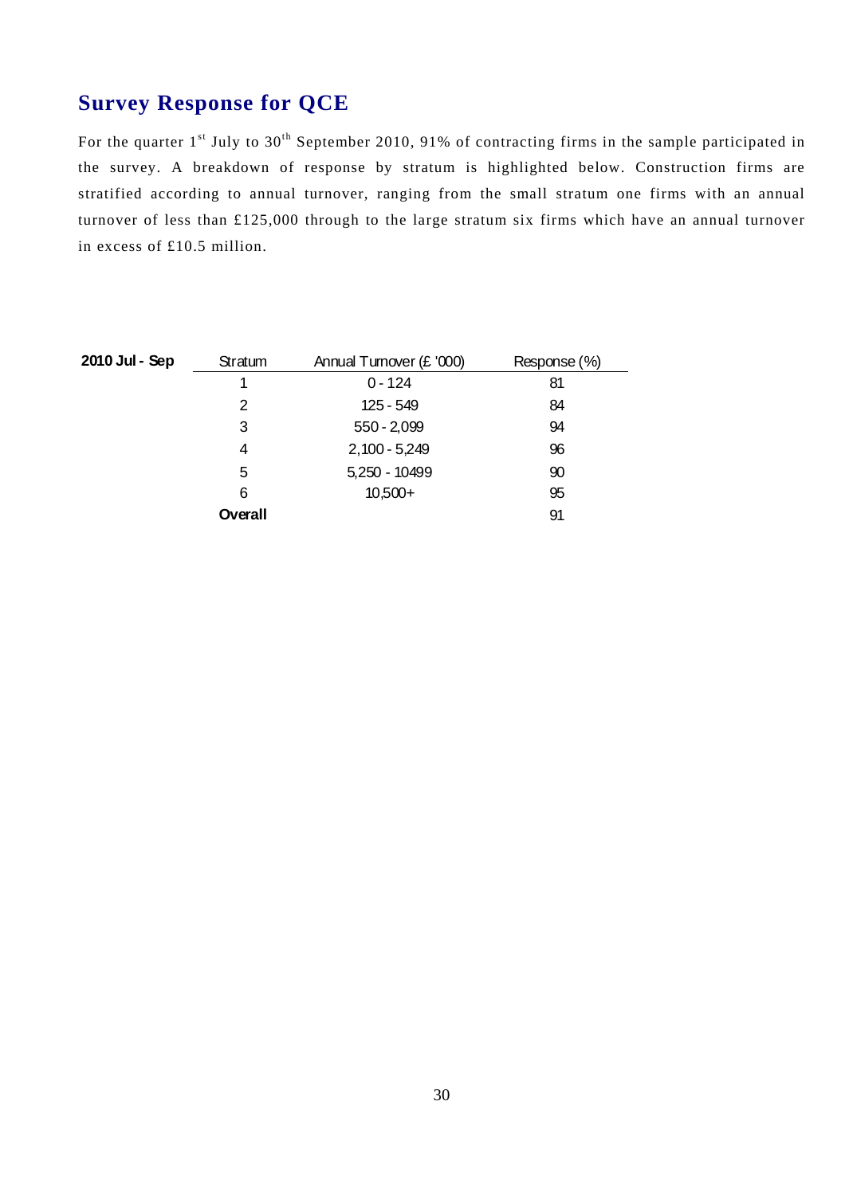## **Survey Response for QCE**

 stratified according to annual turnover, ranging from the small stratum one firms with an annual in excess of £10.5 million. For the quarter 1<sup>st</sup> July to 30<sup>th</sup> September 2010, 91% of contracting firms in the sample participated in the survey. A breakdown of response by stratum is highlighted below. Construction firms are turnover of less than £125,000 through to the large stratum six firms which have an annual turnover

| 2010 Jul - Sep | Stratum | Annual Turnover (£ '000) | Response (%) |
|----------------|---------|--------------------------|--------------|
|                | 1       | $0 - 124$                | 81           |
|                | 2       | 125 - 549                | 84           |
|                | 3       | $550 - 2,099$            | 94           |
|                | 4       | $2,100 - 5,249$          | 96           |
|                | 5       | 5,250 - 10499            | 90           |
|                | 6       | $10,500+$                | 95           |
|                | Overall |                          | 91           |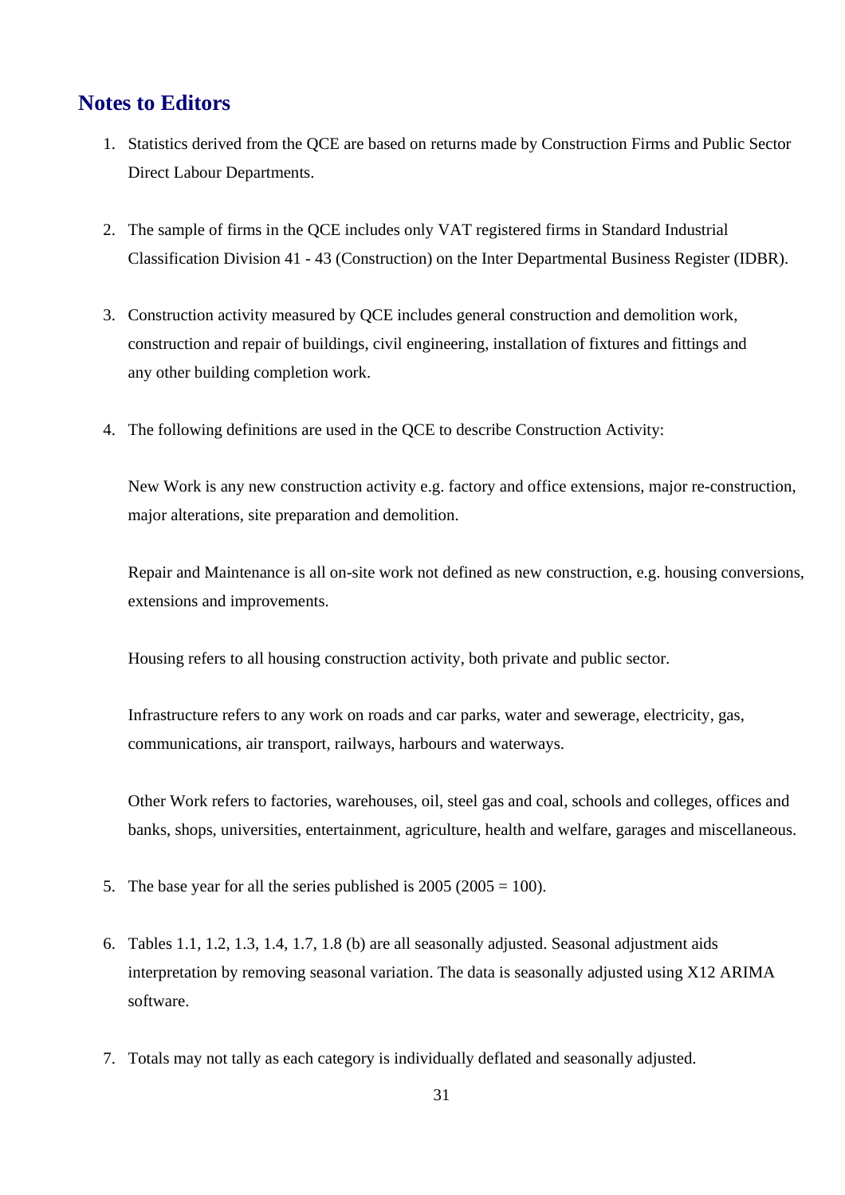## **Notes to Editors**

- 1. Statistics derived from the QCE are based on returns made by Construction Firms and Public Sector Direct Labour Departments.
- 2. The sample of firms in the QCE includes only VAT registered firms in Standard Industrial Classification Division 41 - 43 (Construction) on the Inter Departmental Business Register (IDBR).
- 3. Construction activity measured by QCE includes general construction and demolition work, construction and repair of buildings, civil engineering, installation of fixtures and fittings and any other building completion work.
- 4. The following definitions are used in the QCE to describe Construction Activity:

New Work is any new construction activity e.g. factory and office extensions, major re-construction, major alterations, site preparation and demolition.

Repair and Maintenance is all on-site work not defined as new construction, e.g. housing conversions, extensions and improvements.

Housing refers to all housing construction activity, both private and public sector.

 Infrastructure refers to any work on roads and car parks, water and sewerage, electricity, gas, communications, air transport, railways, harbours and waterways.

Other Work refers to factories, warehouses, oil, steel gas and coal, schools and colleges, offices and banks, shops, universities, entertainment, agriculture, health and welfare, garages and miscellaneous.

- 5. The base year for all the series published is  $2005 (2005 = 100)$ .
- interpretation by removing seasonal variation. The data is seasonally adjusted using X12 ARIMA 6. Tables 1.1, 1.2, 1.3, 1.4, 1.7, 1.8 (b) are all seasonally adjusted. Seasonal adjustment aids software.
- 7. Totals may not tally as each category is individually deflated and seasonally adjusted.